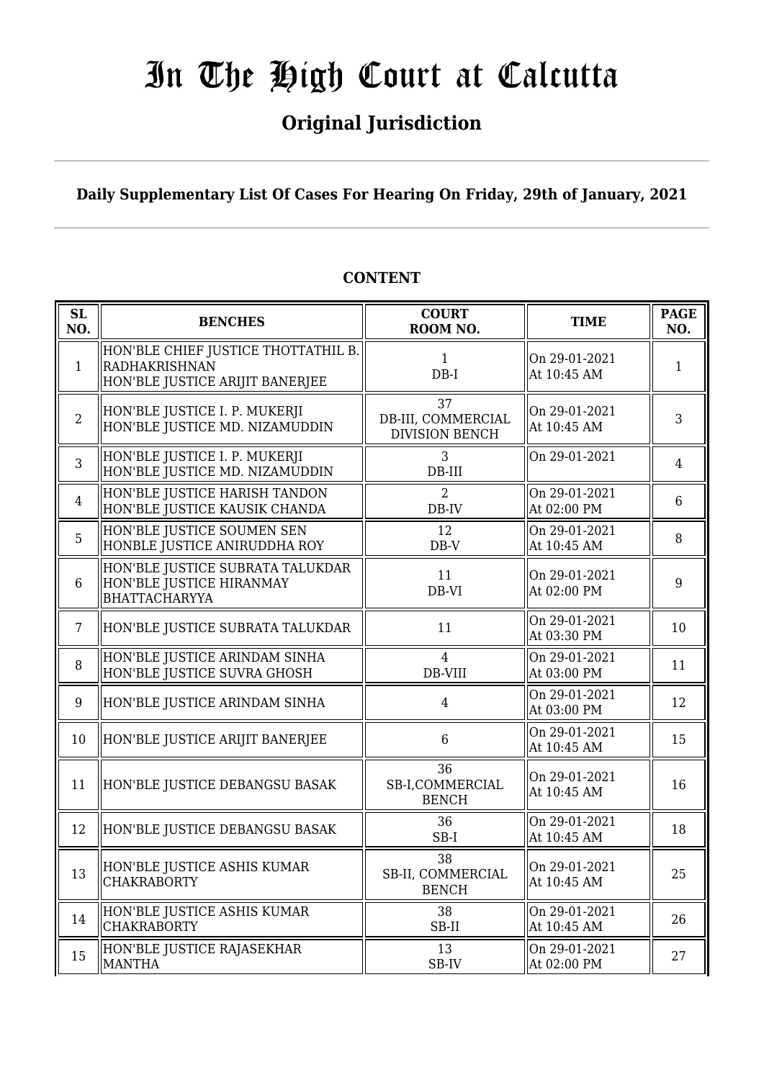## **Original Jurisdiction**

## **Daily Supplementary List Of Cases For Hearing On Friday, 29th of January, 2021**

| SL<br>NO.      | <b>BENCHES</b>                                                                          | <b>COURT</b><br>ROOM NO.                          | <b>TIME</b>                  | <b>PAGE</b><br>NO. |
|----------------|-----------------------------------------------------------------------------------------|---------------------------------------------------|------------------------------|--------------------|
| $\mathbf{1}$   | HON'BLE CHIEF JUSTICE THOTTATHIL B.<br>RADHAKRISHNAN<br>HON'BLE JUSTICE ARIJIT BANERJEE | $\mathbf{1}$<br>$DB-I$                            | On 29-01-2021<br>At 10:45 AM | $\mathbf{1}$       |
| $\overline{2}$ | HON'BLE JUSTICE I. P. MUKERJI<br>HON'BLE JUSTICE MD. NIZAMUDDIN                         | 37<br>DB-III, COMMERCIAL<br><b>DIVISION BENCH</b> | On 29-01-2021<br>At 10:45 AM | 3                  |
| 3              | HON'BLE JUSTICE I. P. MUKERJI<br>HON'BLE JUSTICE MD. NIZAMUDDIN                         | 3<br>$DB-III$                                     | On 29-01-2021                | $\overline{4}$     |
| $\overline{4}$ | HON'BLE JUSTICE HARISH TANDON<br>HON'BLE JUSTICE KAUSIK CHANDA                          | 2<br>DB-IV                                        | On 29-01-2021<br>At 02:00 PM | $6\phantom{1}$     |
| 5              | HON'BLE JUSTICE SOUMEN SEN<br>HONBLE JUSTICE ANIRUDDHA ROY                              | 12<br>$DB-V$                                      | On 29-01-2021<br>At 10:45 AM | 8                  |
| $6\phantom{1}$ | HON'BLE JUSTICE SUBRATA TALUKDAR<br>HON'BLE JUSTICE HIRANMAY<br><b>BHATTACHARYYA</b>    | 11<br>DB-VI                                       | On 29-01-2021<br>At 02:00 PM | 9                  |
| $\overline{7}$ | HON'BLE JUSTICE SUBRATA TALUKDAR                                                        | 11                                                | On 29-01-2021<br>At 03:30 PM | 10                 |
| 8              | HON'BLE JUSTICE ARINDAM SINHA<br>HON'BLE JUSTICE SUVRA GHOSH                            | $\overline{4}$<br>DB-VIII                         | On 29-01-2021<br>At 03:00 PM | 11                 |
| 9              | HON'BLE JUSTICE ARINDAM SINHA                                                           | $\overline{4}$                                    | On 29-01-2021<br>At 03:00 PM | 12                 |
| 10             | HON'BLE JUSTICE ARIJIT BANERJEE                                                         | 6                                                 | On 29-01-2021<br>At 10:45 AM | 15                 |
| 11             | HON'BLE JUSTICE DEBANGSU BASAK                                                          | 36<br>SB-I,COMMERCIAL<br><b>BENCH</b>             | On 29-01-2021<br>At 10:45 AM | 16                 |
| 12             | HON'BLE JUSTICE DEBANGSU BASAK                                                          | 36<br>SB-I                                        | On 29-01-2021<br>At 10:45 AM | 18                 |
| 13             | HON'BLE JUSTICE ASHIS KUMAR<br><b>CHAKRABORTY</b>                                       | 38<br>SB-II, COMMERCIAL<br><b>BENCH</b>           | On 29-01-2021<br>At 10:45 AM | 25                 |
| 14             | HON'BLE JUSTICE ASHIS KUMAR<br><b>CHAKRABORTY</b>                                       | 38<br>SB-II                                       | On 29-01-2021<br>At 10:45 AM | 26                 |
| 15             | HON'BLE JUSTICE RAJASEKHAR<br><b>MANTHA</b>                                             | 13<br>SB-IV                                       | On 29-01-2021<br>At 02:00 PM | 27                 |

## **CONTENT**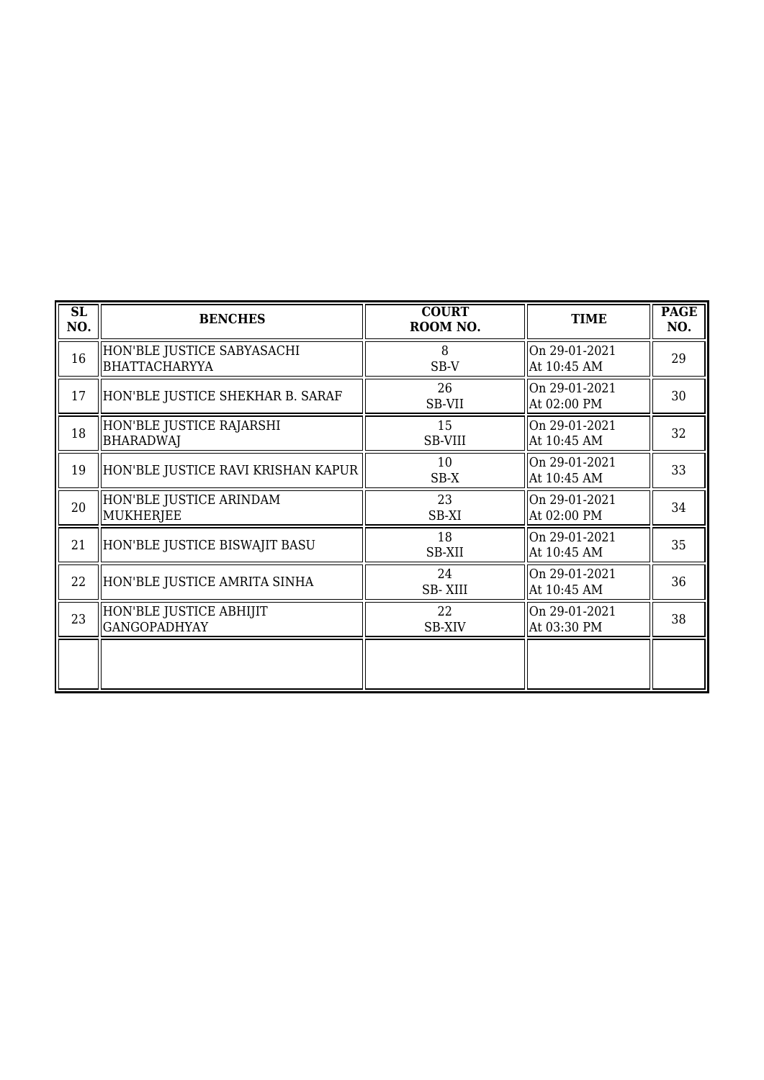| SL<br>NO. | <b>BENCHES</b>                                     | <b>COURT</b><br>ROOM NO. | <b>TIME</b>                  | <b>PAGE</b><br>NO. |
|-----------|----------------------------------------------------|--------------------------|------------------------------|--------------------|
| 16        | HON'BLE JUSTICE SABYASACHI<br><b>BHATTACHARYYA</b> | 8<br>SB-V                | On 29-01-2021<br>At 10:45 AM | 29                 |
| 17        | HON'BLE JUSTICE SHEKHAR B. SARAF                   | 26<br>SB-VII             | On 29-01-2021<br>At 02:00 PM | 30                 |
| 18        | HON'BLE JUSTICE RAJARSHI<br><b>BHARADWAJ</b>       | 15<br><b>SB-VIII</b>     | On 29-01-2021<br>At 10:45 AM | 32                 |
| 19        | HON'BLE JUSTICE RAVI KRISHAN KAPUR                 | 10<br>$SB-X$             | On 29-01-2021<br>At 10:45 AM | 33                 |
| 20        | HON'BLE JUSTICE ARINDAM<br>MUKHERJEE               | 23<br>SB-XI              | On 29-01-2021<br>At 02:00 PM | 34                 |
| 21        | HON'BLE JUSTICE BISWAJIT BASU                      | 18<br>SB-XII             | On 29-01-2021<br>At 10:45 AM | 35                 |
| 22        | HON'BLE JUSTICE AMRITA SINHA                       | 24<br><b>SB-XIII</b>     | On 29-01-2021<br>At 10:45 AM | 36                 |
| 23        | HON'BLE JUSTICE ABHIJIT<br><b>GANGOPADHYAY</b>     | 22<br><b>SB-XIV</b>      | On 29-01-2021<br>At 03:30 PM | 38                 |
|           |                                                    |                          |                              |                    |
|           |                                                    |                          |                              |                    |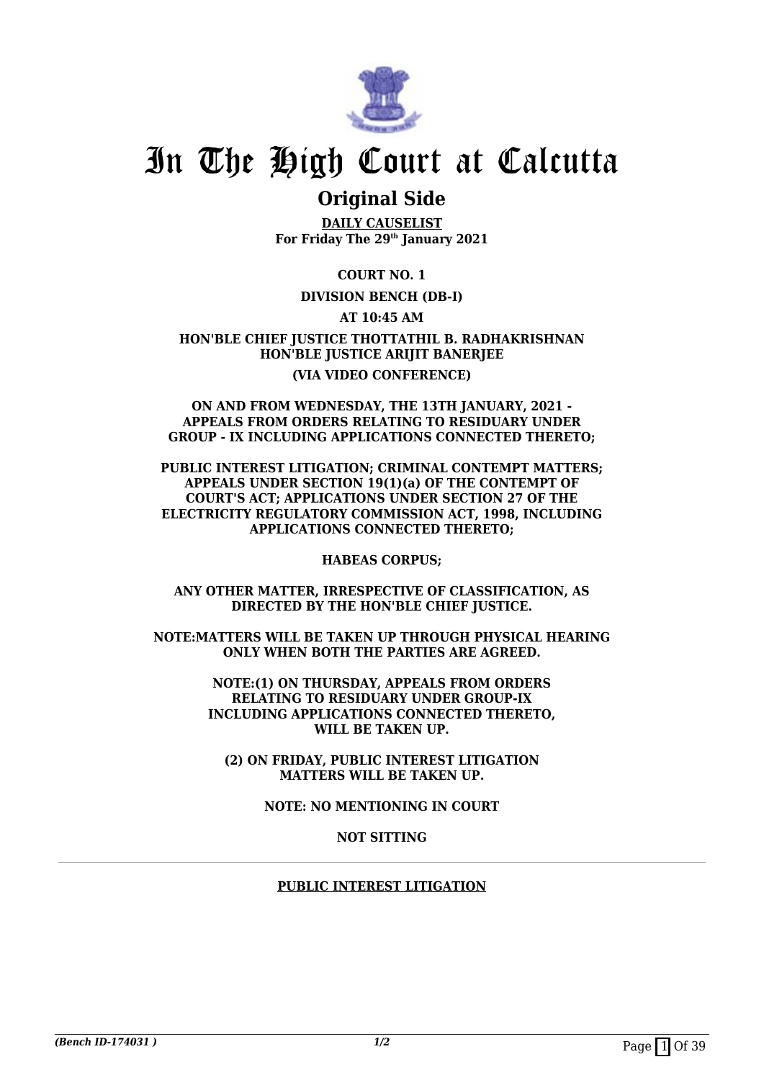

## **Original Side**

**DAILY CAUSELIST For Friday The 29th January 2021**

**COURT NO. 1**

## **DIVISION BENCH (DB-I)**

**AT 10:45 AM**

**HON'BLE CHIEF JUSTICE THOTTATHIL B. RADHAKRISHNAN HON'BLE JUSTICE ARIJIT BANERJEE (VIA VIDEO CONFERENCE)**

#### **ON AND FROM WEDNESDAY, THE 13TH JANUARY, 2021 - APPEALS FROM ORDERS RELATING TO RESIDUARY UNDER GROUP - IX INCLUDING APPLICATIONS CONNECTED THERETO;**

**PUBLIC INTEREST LITIGATION; CRIMINAL CONTEMPT MATTERS; APPEALS UNDER SECTION 19(1)(a) OF THE CONTEMPT OF COURT'S ACT; APPLICATIONS UNDER SECTION 27 OF THE ELECTRICITY REGULATORY COMMISSION ACT, 1998, INCLUDING APPLICATIONS CONNECTED THERETO;**

**HABEAS CORPUS;**

**ANY OTHER MATTER, IRRESPECTIVE OF CLASSIFICATION, AS DIRECTED BY THE HON'BLE CHIEF JUSTICE.**

**NOTE:MATTERS WILL BE TAKEN UP THROUGH PHYSICAL HEARING ONLY WHEN BOTH THE PARTIES ARE AGREED.**

> **NOTE:(1) ON THURSDAY, APPEALS FROM ORDERS RELATING TO RESIDUARY UNDER GROUP-IX INCLUDING APPLICATIONS CONNECTED THERETO, WILL BE TAKEN UP.**

**(2) ON FRIDAY, PUBLIC INTEREST LITIGATION MATTERS WILL BE TAKEN UP.**

**NOTE: NO MENTIONING IN COURT**

**NOT SITTING**

## **PUBLIC INTEREST LITIGATION**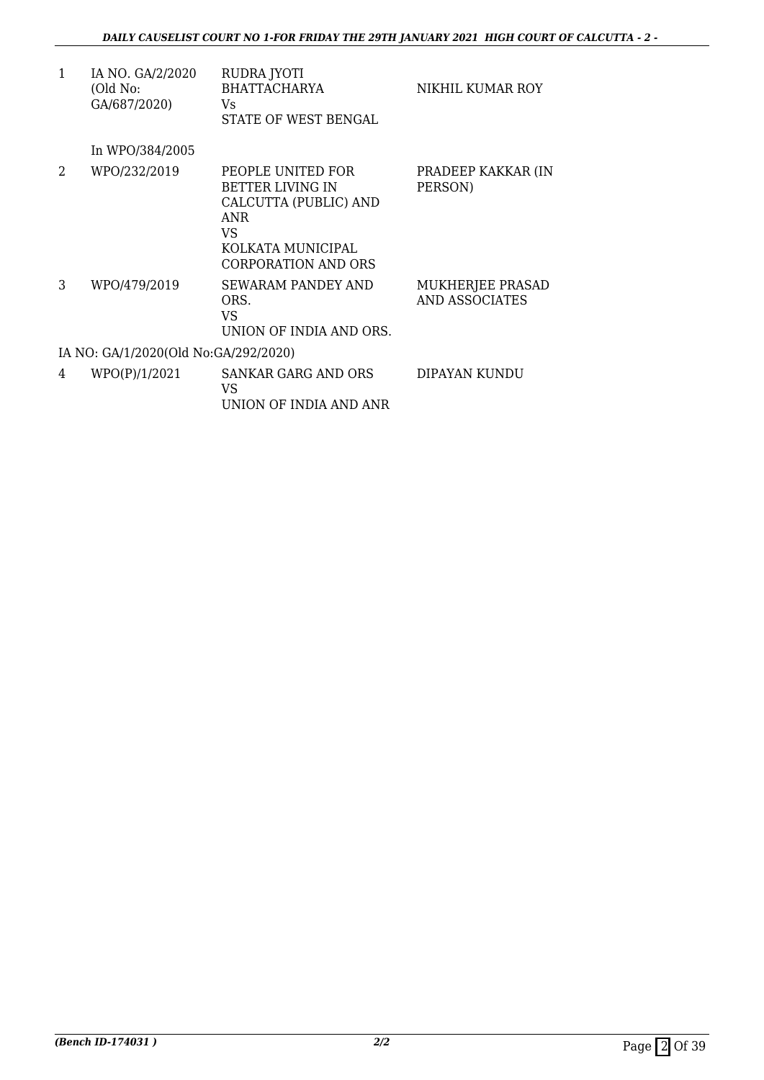| 1 | IA NO. GA/2/2020<br>(Old No:<br>GA/687/2020) | RUDRA JYOTI<br><b>BHATTACHARYA</b><br>Vs.<br>STATE OF WEST BENGAL                                                               | NIKHIL KUMAR ROY                          |
|---|----------------------------------------------|---------------------------------------------------------------------------------------------------------------------------------|-------------------------------------------|
|   | In WPO/384/2005                              |                                                                                                                                 |                                           |
| 2 | WPO/232/2019                                 | PEOPLE UNITED FOR<br>BETTER LIVING IN<br>CALCUTTA (PUBLIC) AND<br><b>ANR</b><br>VS.<br>KOLKATA MUNICIPAL<br>CORPORATION AND ORS | PRADEEP KAKKAR (IN<br>PERSON)             |
| 3 | WPO/479/2019                                 | SEWARAM PANDEY AND<br>ORS.<br>VS.<br>UNION OF INDIA AND ORS.                                                                    | MUKHERJEE PRASAD<br><b>AND ASSOCIATES</b> |
|   | IA NO: GA/1/2020(Old No:GA/292/2020)         |                                                                                                                                 |                                           |
| 4 | WPO(P)/1/2021                                | SANKAR GARG AND ORS<br>VS.<br>UNION OF INDIA AND ANR                                                                            | DIPAYAN KUNDU                             |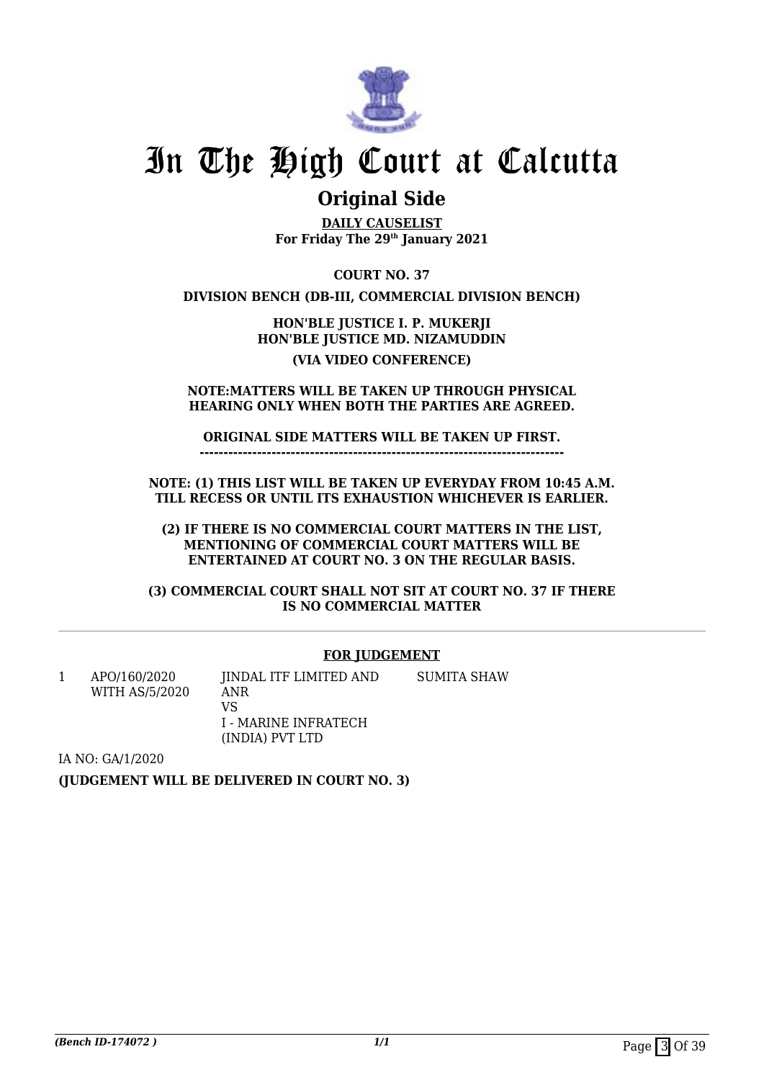

## **Original Side**

**DAILY CAUSELIST For Friday The 29th January 2021**

**COURT NO. 37**

**DIVISION BENCH (DB-III, COMMERCIAL DIVISION BENCH)**

**HON'BLE JUSTICE I. P. MUKERJI HON'BLE JUSTICE MD. NIZAMUDDIN (VIA VIDEO CONFERENCE)**

**NOTE:MATTERS WILL BE TAKEN UP THROUGH PHYSICAL HEARING ONLY WHEN BOTH THE PARTIES ARE AGREED.**

**ORIGINAL SIDE MATTERS WILL BE TAKEN UP FIRST.**

**----------------------------------------------------------------------------**

**NOTE: (1) THIS LIST WILL BE TAKEN UP EVERYDAY FROM 10:45 A.M. TILL RECESS OR UNTIL ITS EXHAUSTION WHICHEVER IS EARLIER.**

**(2) IF THERE IS NO COMMERCIAL COURT MATTERS IN THE LIST, MENTIONING OF COMMERCIAL COURT MATTERS WILL BE ENTERTAINED AT COURT NO. 3 ON THE REGULAR BASIS.**

**(3) COMMERCIAL COURT SHALL NOT SIT AT COURT NO. 37 IF THERE IS NO COMMERCIAL MATTER**

## **FOR JUDGEMENT**

1 APO/160/2020 WITH AS/5/2020 JINDAL ITF LIMITED AND ANR VS I - MARINE INFRATECH (INDIA) PVT LTD SUMITA SHAW

IA NO: GA/1/2020

**(JUDGEMENT WILL BE DELIVERED IN COURT NO. 3)**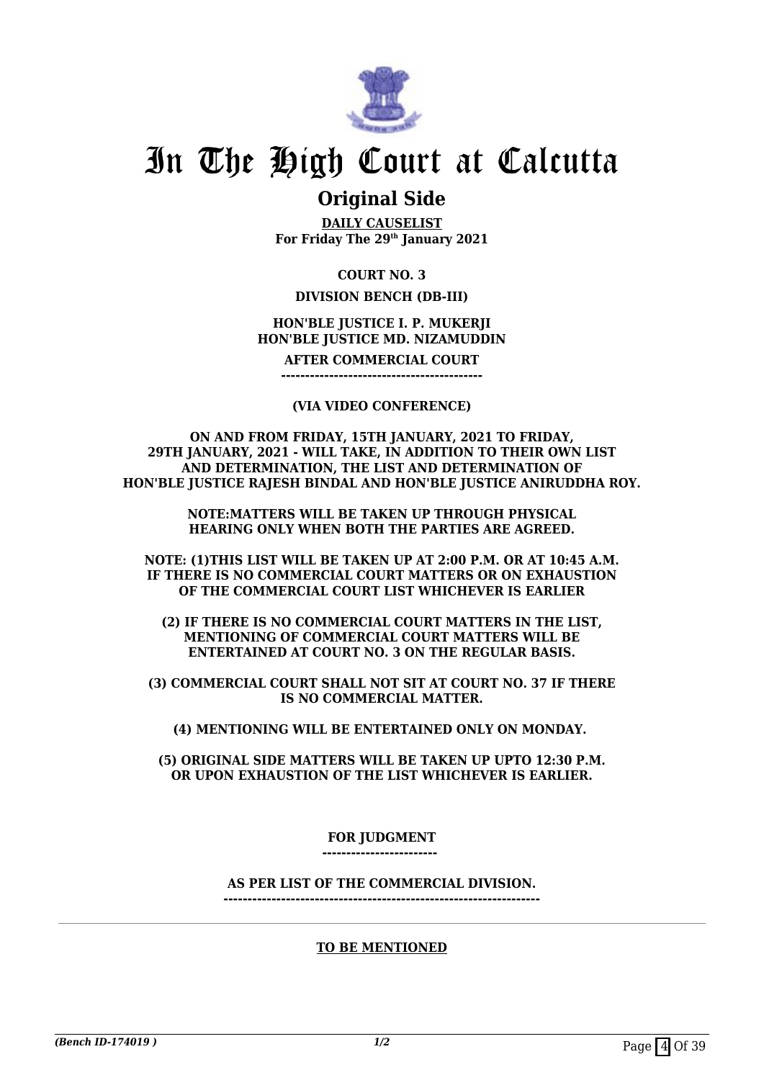

## **Original Side**

**DAILY CAUSELIST For Friday The 29th January 2021**

## **COURT NO. 3**

## **DIVISION BENCH (DB-III)**

### **HON'BLE JUSTICE I. P. MUKERJI HON'BLE JUSTICE MD. NIZAMUDDIN**

**AFTER COMMERCIAL COURT**

**------------------------------------------**

### **(VIA VIDEO CONFERENCE)**

**ON AND FROM FRIDAY, 15TH JANUARY, 2021 TO FRIDAY, 29TH JANUARY, 2021 - WILL TAKE, IN ADDITION TO THEIR OWN LIST AND DETERMINATION, THE LIST AND DETERMINATION OF HON'BLE JUSTICE RAJESH BINDAL AND HON'BLE JUSTICE ANIRUDDHA ROY.**

> **NOTE:MATTERS WILL BE TAKEN UP THROUGH PHYSICAL HEARING ONLY WHEN BOTH THE PARTIES ARE AGREED.**

**NOTE: (1)THIS LIST WILL BE TAKEN UP AT 2:00 P.M. OR AT 10:45 A.M. IF THERE IS NO COMMERCIAL COURT MATTERS OR ON EXHAUSTION OF THE COMMERCIAL COURT LIST WHICHEVER IS EARLIER**

**(2) IF THERE IS NO COMMERCIAL COURT MATTERS IN THE LIST, MENTIONING OF COMMERCIAL COURT MATTERS WILL BE ENTERTAINED AT COURT NO. 3 ON THE REGULAR BASIS.**

**(3) COMMERCIAL COURT SHALL NOT SIT AT COURT NO. 37 IF THERE IS NO COMMERCIAL MATTER.**

**(4) MENTIONING WILL BE ENTERTAINED ONLY ON MONDAY.** 

**(5) ORIGINAL SIDE MATTERS WILL BE TAKEN UP UPTO 12:30 P.M. OR UPON EXHAUSTION OF THE LIST WHICHEVER IS EARLIER.**

## **FOR JUDGMENT**

**------------------------** 

## **AS PER LIST OF THE COMMERCIAL DIVISION.**

**------------------------------------------------------------------**

## **TO BE MENTIONED**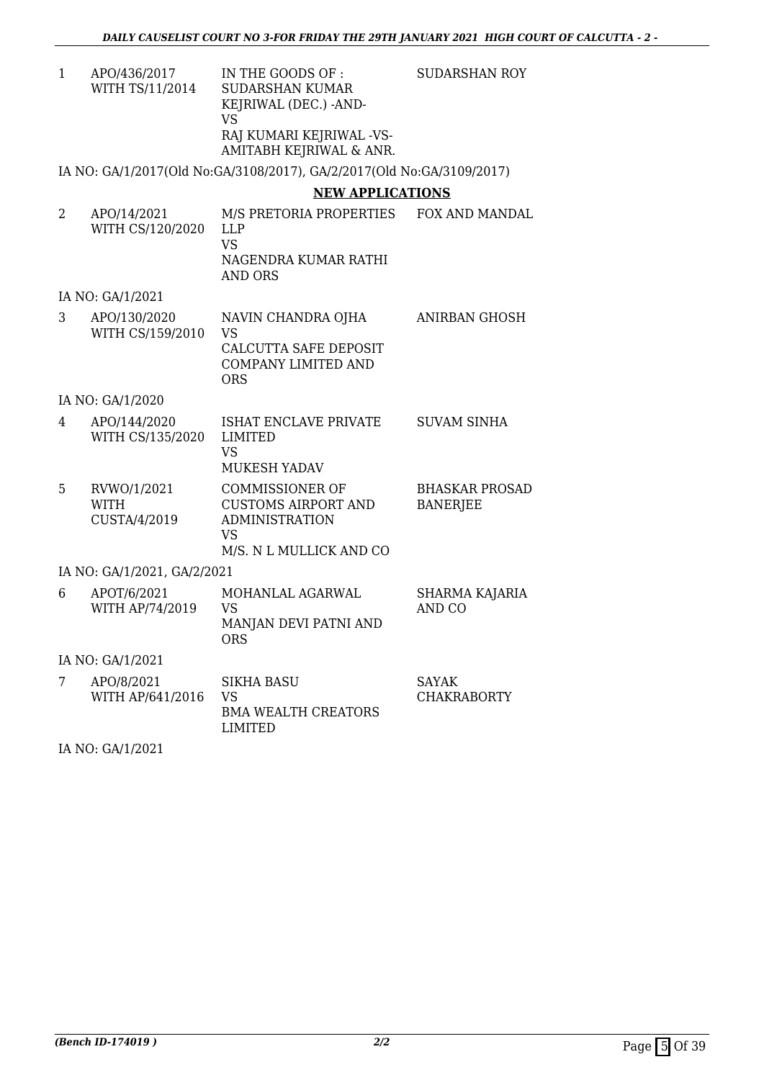| APO/436/2017    | IN THE GOODS OF :        | SUDARSHAN ROY |
|-----------------|--------------------------|---------------|
| WITH TS/11/2014 | SUDARSHAN KUMAR          |               |
|                 | KEJRIWAL (DEC.) -AND-    |               |
|                 | VS                       |               |
|                 | RAJ KUMARI KEJRIWAL -VS- |               |
|                 | AMITABH KEJRIWAL & ANR.  |               |
|                 |                          |               |

IA NO: GA/1/2017(Old No:GA/3108/2017), GA/2/2017(Old No:GA/3109/2017)

## **NEW APPLICATIONS**

| 2 | APO/14/2021<br>WITH CS/120/2020            | M/S PRETORIA PROPERTIES<br><b>LLP</b><br><b>VS</b><br>NAGENDRA KUMAR RATHI<br><b>AND ORS</b>                          | FOX AND MANDAL                           |
|---|--------------------------------------------|-----------------------------------------------------------------------------------------------------------------------|------------------------------------------|
|   | IA NO: GA/1/2021                           |                                                                                                                       |                                          |
| 3 | APO/130/2020<br>WITH CS/159/2010           | NAVIN CHANDRA OJHA<br><b>VS</b><br>CALCUTTA SAFE DEPOSIT<br><b>COMPANY LIMITED AND</b><br><b>ORS</b>                  | ANIRBAN GHOSH                            |
|   | IA NO: GA/1/2020                           |                                                                                                                       |                                          |
| 4 | APO/144/2020<br>WITH CS/135/2020           | ISHAT ENCLAVE PRIVATE<br><b>LIMITED</b><br><b>VS</b><br><b>MUKESH YADAV</b>                                           | <b>SUVAM SINHA</b>                       |
| 5 | RVWO/1/2021<br><b>WITH</b><br>CUSTA/4/2019 | <b>COMMISSIONER OF</b><br><b>CUSTOMS AIRPORT AND</b><br><b>ADMINISTRATION</b><br><b>VS</b><br>M/S. N L MULLICK AND CO | <b>BHASKAR PROSAD</b><br><b>BANERJEE</b> |
|   | IA NO: GA/1/2021, GA/2/2021                |                                                                                                                       |                                          |
| 6 | APOT/6/2021<br>WITH AP/74/2019             | MOHANLAL AGARWAL<br><b>VS</b><br>MANJAN DEVI PATNI AND<br><b>ORS</b>                                                  | SHARMA KAJARIA<br>AND CO                 |
|   | IA NO: GA/1/2021                           |                                                                                                                       |                                          |
| 7 | APO/8/2021<br>WITH AP/641/2016             | <b>SIKHA BASU</b><br><b>VS</b><br><b>BMA WEALTH CREATORS</b><br><b>LIMITED</b>                                        | <b>SAYAK</b><br><b>CHAKRABORTY</b>       |

IA NO: GA/1/2021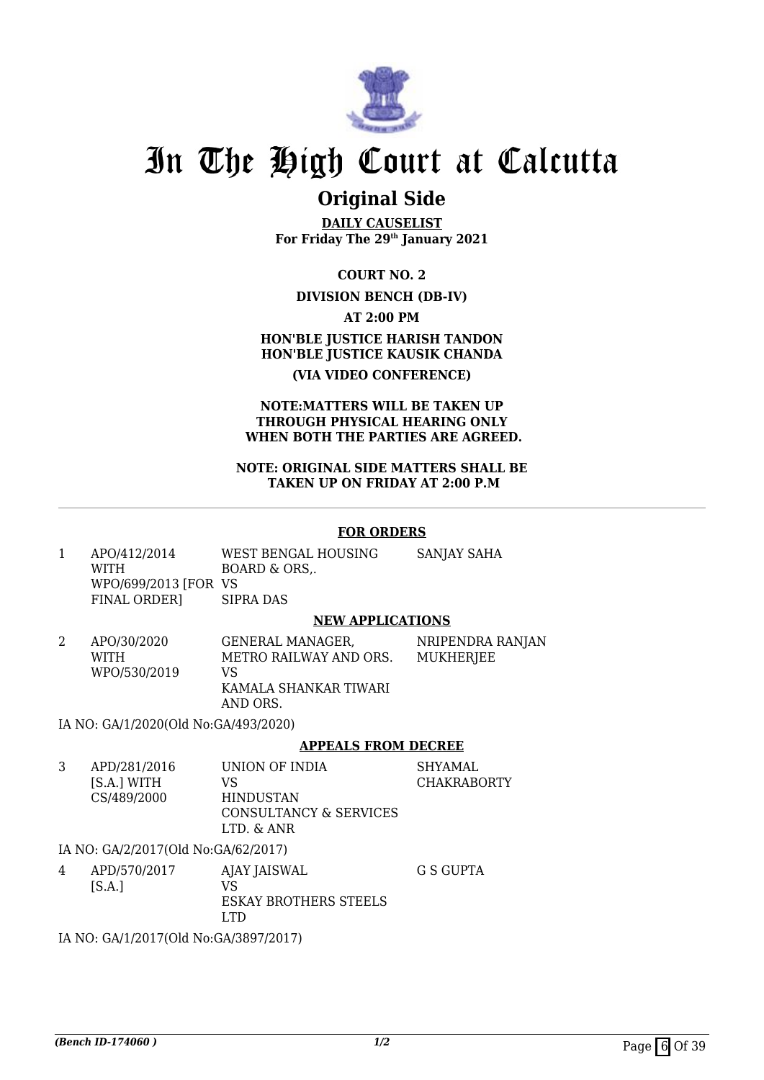

## **Original Side**

**DAILY CAUSELIST For Friday The 29th January 2021**

**COURT NO. 2**

### **DIVISION BENCH (DB-IV)**

**AT 2:00 PM**

**HON'BLE JUSTICE HARISH TANDON HON'BLE JUSTICE KAUSIK CHANDA (VIA VIDEO CONFERENCE)**

#### **NOTE:MATTERS WILL BE TAKEN UP THROUGH PHYSICAL HEARING ONLY WHEN BOTH THE PARTIES ARE AGREED.**

#### **NOTE: ORIGINAL SIDE MATTERS SHALL BE TAKEN UP ON FRIDAY AT 2:00 P.M**

### **FOR ORDERS**

1 APO/412/2014 WITH WPO/699/2013 [FOR VS FINAL ORDER] WEST BENGAL HOUSING BOARD & ORS,. SIPRA DAS SANJAY SAHA

#### **NEW APPLICATIONS**

2 APO/30/2020 WITH WPO/530/2019 GENERAL MANAGER, METRO RAILWAY AND ORS. VS KAMALA SHANKAR TIWARI AND ORS. NRIPENDRA RANJAN **MUKHERIEE** 

IA NO: GA/1/2020(Old No:GA/493/2020)

## **APPEALS FROM DECREE**

3 APD/281/2016 [S.A.] WITH CS/489/2000 UNION OF INDIA VS HINDUSTAN CONSULTANCY & SERVICES LTD. & ANR SHYAMAL CHAKRABORTY

IA NO: GA/2/2017(Old No:GA/62/2017)

4 APD/570/2017  $[S.A.]$ AJAY JAISWAL VS ESKAY BROTHERS STEELS LTD G S GUPTA

IA NO: GA/1/2017(Old No:GA/3897/2017)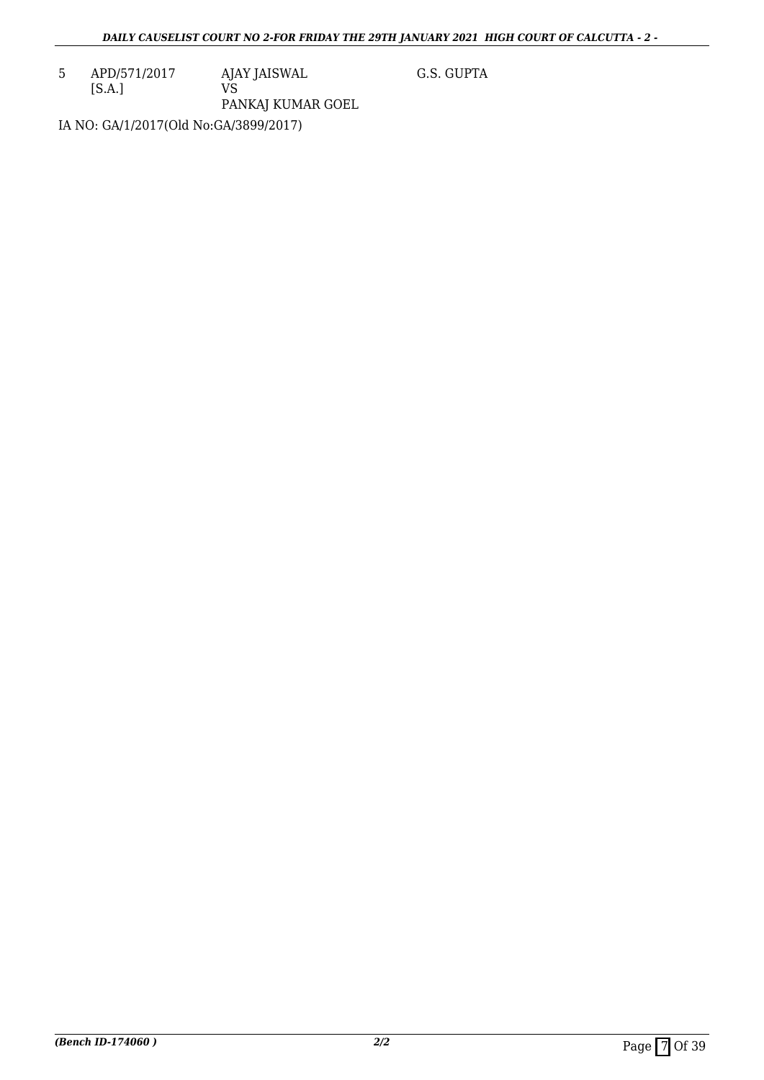5 APD/571/2017 [S.A.] AJAY JAISWAL VS PANKAJ KUMAR GOEL G.S. GUPTA

IA NO: GA/1/2017(Old No:GA/3899/2017)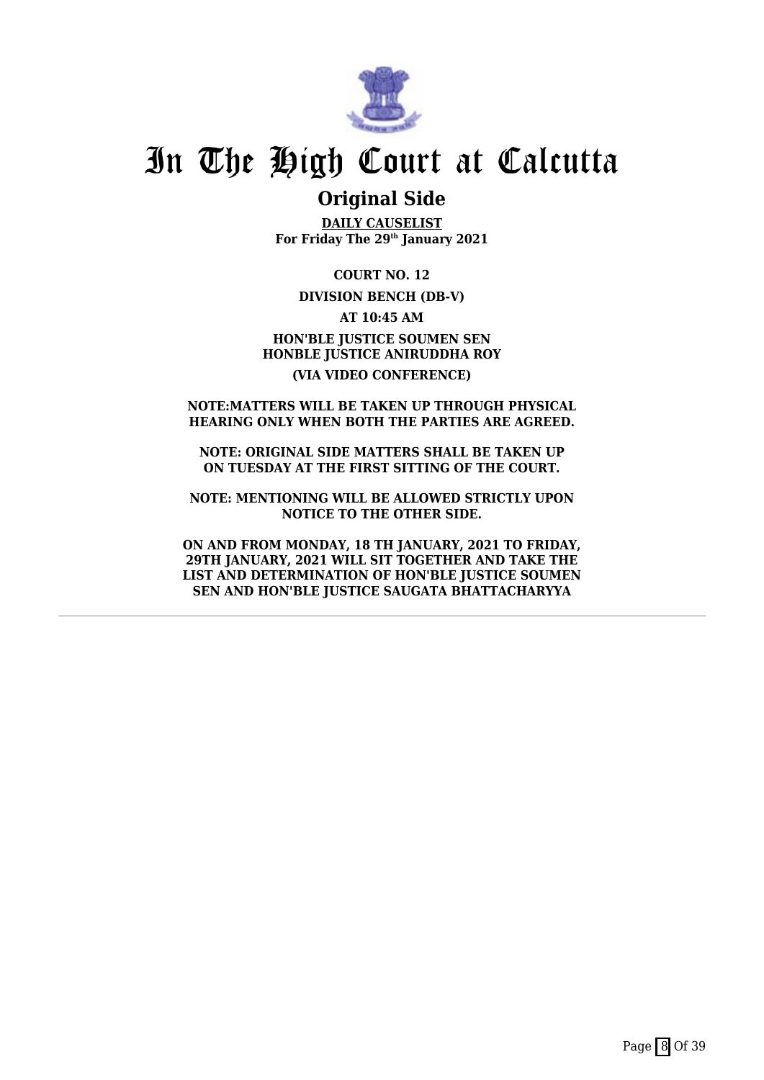

## **Original Side**

**DAILY CAUSELIST For Friday The 29th January 2021**

**COURT NO. 12**

#### **DIVISION BENCH (DB-V)**

**AT 10:45 AM HON'BLE JUSTICE SOUMEN SEN HONBLE JUSTICE ANIRUDDHA ROY**

### **(VIA VIDEO CONFERENCE)**

#### **NOTE:MATTERS WILL BE TAKEN UP THROUGH PHYSICAL HEARING ONLY WHEN BOTH THE PARTIES ARE AGREED.**

**NOTE: ORIGINAL SIDE MATTERS SHALL BE TAKEN UP ON TUESDAY AT THE FIRST SITTING OF THE COURT.**

**NOTE: MENTIONING WILL BE ALLOWED STRICTLY UPON NOTICE TO THE OTHER SIDE.**

**ON AND FROM MONDAY, 18 TH JANUARY, 2021 TO FRIDAY, 29TH JANUARY, 2021 WILL SIT TOGETHER AND TAKE THE LIST AND DETERMINATION OF HON'BLE JUSTICE SOUMEN SEN AND HON'BLE JUSTICE SAUGATA BHATTACHARYYA**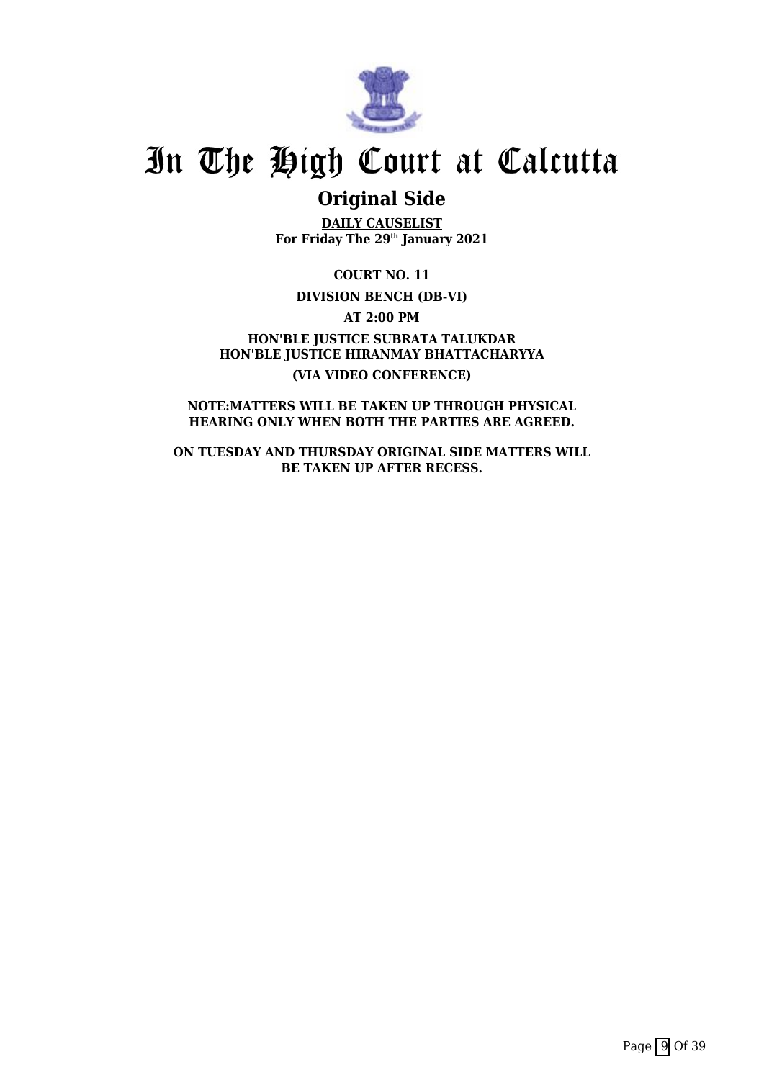

## **Original Side**

**DAILY CAUSELIST For Friday The 29th January 2021**

**COURT NO. 11**

**DIVISION BENCH (DB-VI)**

**AT 2:00 PM**

**HON'BLE JUSTICE SUBRATA TALUKDAR HON'BLE JUSTICE HIRANMAY BHATTACHARYYA (VIA VIDEO CONFERENCE)**

**NOTE:MATTERS WILL BE TAKEN UP THROUGH PHYSICAL HEARING ONLY WHEN BOTH THE PARTIES ARE AGREED.**

**ON TUESDAY AND THURSDAY ORIGINAL SIDE MATTERS WILL BE TAKEN UP AFTER RECESS.**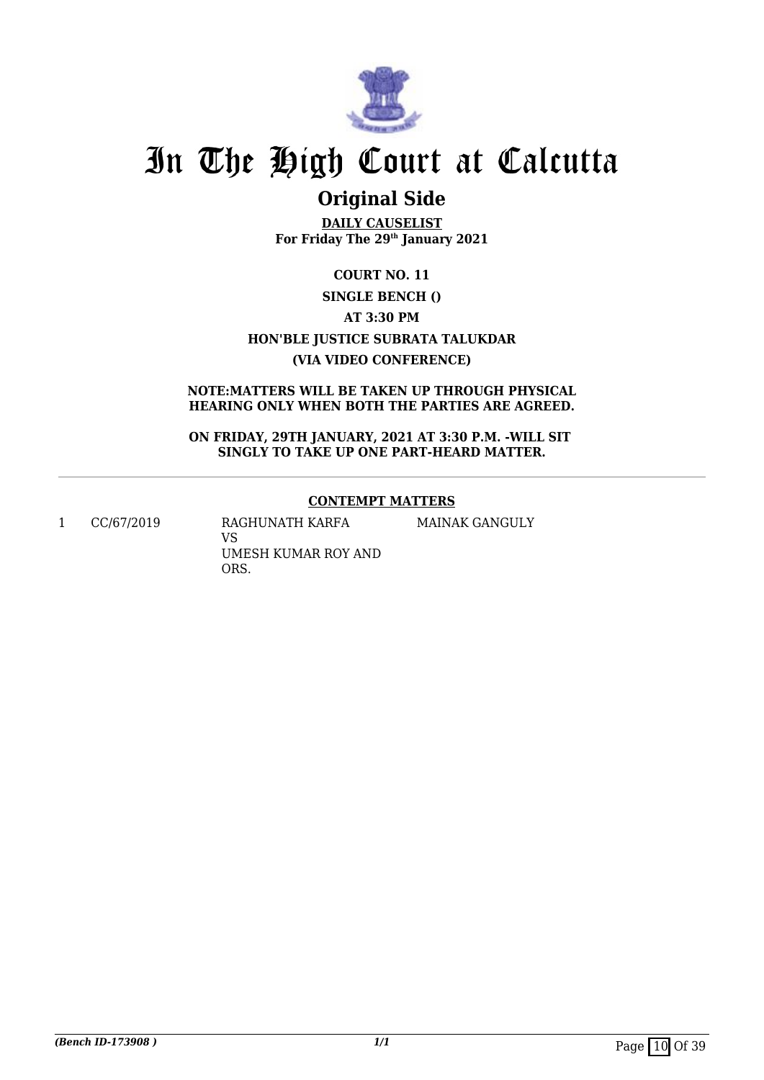

## **Original Side**

**DAILY CAUSELIST For Friday The 29th January 2021**

**COURT NO. 11 SINGLE BENCH () AT 3:30 PM HON'BLE JUSTICE SUBRATA TALUKDAR (VIA VIDEO CONFERENCE)**

## **NOTE:MATTERS WILL BE TAKEN UP THROUGH PHYSICAL HEARING ONLY WHEN BOTH THE PARTIES ARE AGREED.**

**ON FRIDAY, 29TH JANUARY, 2021 AT 3:30 P.M. -WILL SIT SINGLY TO TAKE UP ONE PART-HEARD MATTER.**

## **CONTEMPT MATTERS**

MAINAK GANGULY

1 CC/67/2019 RAGHUNATH KARFA

VS UMESH KUMAR ROY AND ORS.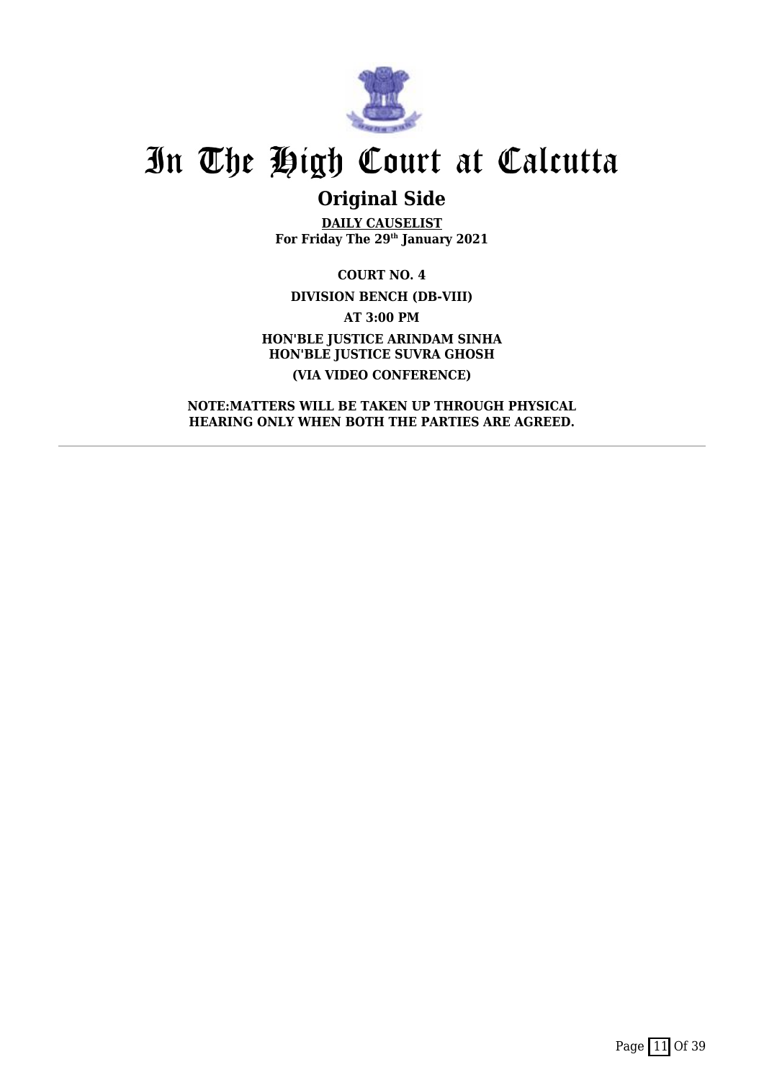

## **Original Side**

**DAILY CAUSELIST For Friday The 29th January 2021**

**COURT NO. 4 DIVISION BENCH (DB-VIII) AT 3:00 PM HON'BLE JUSTICE ARINDAM SINHA HON'BLE JUSTICE SUVRA GHOSH (VIA VIDEO CONFERENCE)**

**NOTE:MATTERS WILL BE TAKEN UP THROUGH PHYSICAL HEARING ONLY WHEN BOTH THE PARTIES ARE AGREED.**

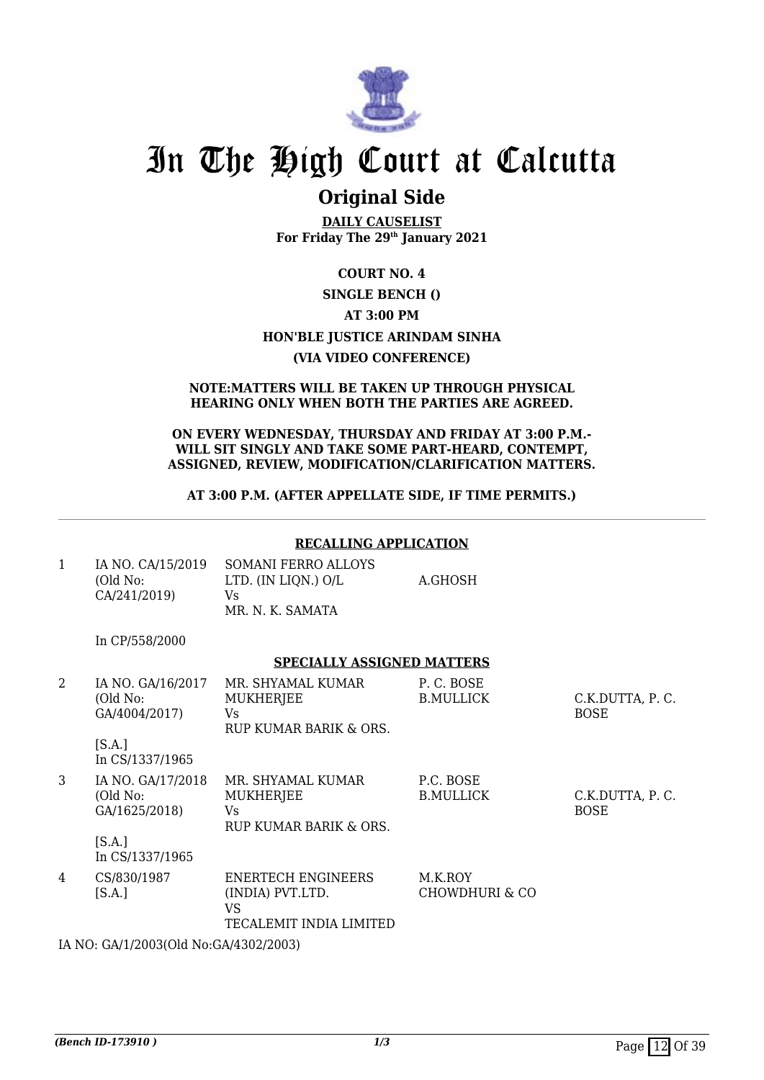

## **Original Side**

**DAILY CAUSELIST For Friday The 29th January 2021**

### **COURT NO. 4**

## **SINGLE BENCH ()**

## **AT 3:00 PM**

## **HON'BLE JUSTICE ARINDAM SINHA**

### **(VIA VIDEO CONFERENCE)**

#### **NOTE:MATTERS WILL BE TAKEN UP THROUGH PHYSICAL HEARING ONLY WHEN BOTH THE PARTIES ARE AGREED.**

#### **ON EVERY WEDNESDAY, THURSDAY AND FRIDAY AT 3:00 P.M.- WILL SIT SINGLY AND TAKE SOME PART-HEARD, CONTEMPT, ASSIGNED, REVIEW, MODIFICATION/CLARIFICATION MATTERS.**

### **AT 3:00 P.M. (AFTER APPELLATE SIDE, IF TIME PERMITS.)**

#### **RECALLING APPLICATION**

| IA NO. CA/15/2019<br>(Old No:<br>CA/241/2019) | SOMANI FERRO ALLOYS<br>LTD. (IN LION.) O/L<br>Vs | A.GHOSH |
|-----------------------------------------------|--------------------------------------------------|---------|
|                                               | MR. N. K. SAMATA                                 |         |

In CP/558/2000

#### **SPECIALLY ASSIGNED MATTERS**

| 2 | IA NO. GA/16/2017<br>(Old No:<br>GA/4004/2017)<br>[S.A.]<br>In CS/1337/1965 | MR. SHYAMAL KUMAR<br><b>MUKHERJEE</b><br>Vs.<br>RUP KUMAR BARIK & ORS.         | P.C. BOSE<br><b>B.MULLICK</b> | C.K.DUTTA, P.C.<br><b>BOSE</b> |
|---|-----------------------------------------------------------------------------|--------------------------------------------------------------------------------|-------------------------------|--------------------------------|
| 3 | IA NO. GA/17/2018<br>(Old No:<br>GA/1625/2018)<br>[S.A.]<br>In CS/1337/1965 | MR. SHYAMAL KUMAR<br><b>MUKHERJEE</b><br>Vs.<br>RUP KUMAR BARIK & ORS.         | P.C. BOSE<br><b>B.MULLICK</b> | C.K.DUTTA, P.C.<br><b>BOSE</b> |
| 4 | CS/830/1987<br>[S.A.]                                                       | <b>ENERTECH ENGINEERS</b><br>(INDIA) PVT.LTD.<br>VS<br>TECALEMIT INDIA LIMITED | M.K.ROY<br>CHOWDHURI & CO     |                                |

IA NO: GA/1/2003(Old No:GA/4302/2003)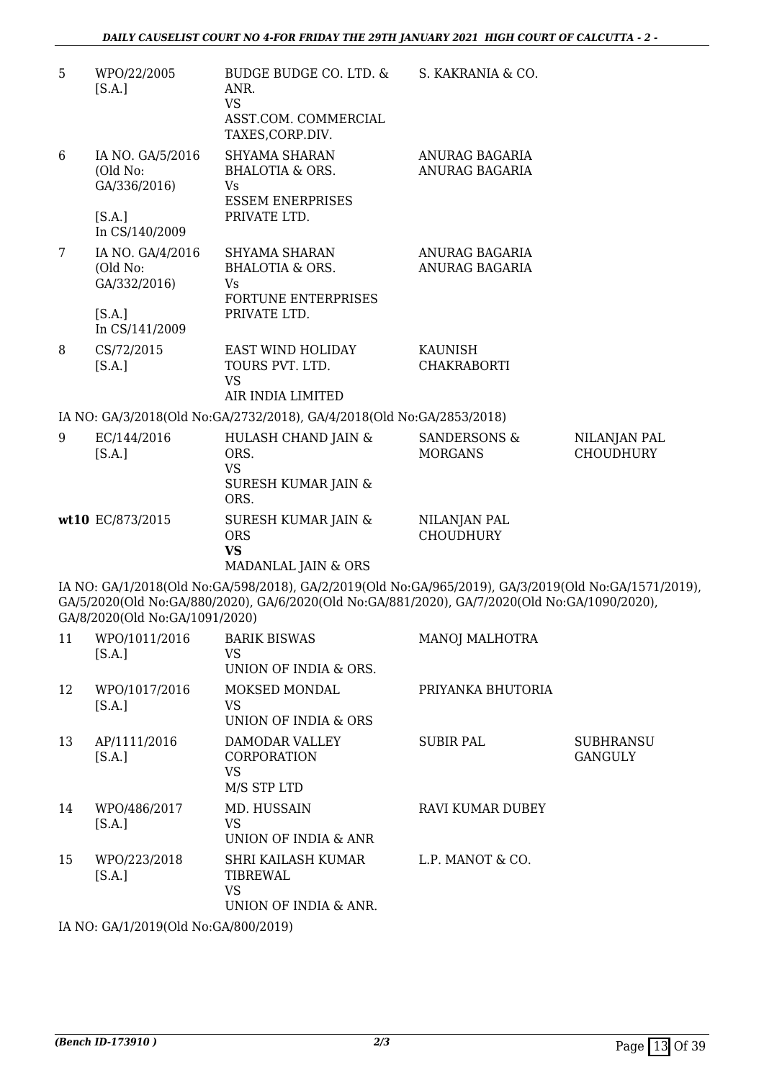| 5              | WPO/22/2005<br>[S.A.]                                  | BUDGE BUDGE CO. LTD. &<br>ANR.<br><b>VS</b><br>ASST.COM. COMMERCIAL<br>TAXES, CORP.DIV.                                                                                                               | S. KAKRANIA & CO.                         |                                    |
|----------------|--------------------------------------------------------|-------------------------------------------------------------------------------------------------------------------------------------------------------------------------------------------------------|-------------------------------------------|------------------------------------|
| 6              | IA NO. GA/5/2016<br>(Old No:<br>GA/336/2016)<br>[S.A.] | SHYAMA SHARAN<br><b>BHALOTIA &amp; ORS.</b><br><b>Vs</b><br><b>ESSEM ENERPRISES</b><br>PRIVATE LTD.                                                                                                   | ANURAG BAGARIA<br>ANURAG BAGARIA          |                                    |
|                | In CS/140/2009                                         |                                                                                                                                                                                                       |                                           |                                    |
| $\overline{7}$ | IA NO. GA/4/2016<br>(Old No:<br>GA/332/2016)<br>[S.A.] | SHYAMA SHARAN<br><b>BHALOTIA &amp; ORS.</b><br>Vs<br>FORTUNE ENTERPRISES<br>PRIVATE LTD.                                                                                                              | ANURAG BAGARIA<br>ANURAG BAGARIA          |                                    |
| 8              | In CS/141/2009                                         |                                                                                                                                                                                                       |                                           |                                    |
|                | CS/72/2015<br>[S.A.]                                   | EAST WIND HOLIDAY<br>TOURS PVT. LTD.<br>VS                                                                                                                                                            | KAUNISH<br><b>CHAKRABORTI</b>             |                                    |
|                |                                                        | AIR INDIA LIMITED                                                                                                                                                                                     |                                           |                                    |
|                |                                                        | IA NO: GA/3/2018(Old No:GA/2732/2018), GA/4/2018(Old No:GA/2853/2018)                                                                                                                                 |                                           |                                    |
| 9              | EC/144/2016<br>[S.A.]                                  | HULASH CHAND JAIN &<br>ORS.<br><b>VS</b><br><b>SURESH KUMAR JAIN &amp;</b><br>ORS.                                                                                                                    | <b>SANDERSONS &amp;</b><br><b>MORGANS</b> | NILANJAN PAL<br><b>CHOUDHURY</b>   |
|                | wt10 EC/873/2015                                       | <b>SURESH KUMAR JAIN &amp;</b><br><b>ORS</b><br><b>VS</b><br>MADANLAL JAIN & ORS                                                                                                                      | NILANJAN PAL<br><b>CHOUDHURY</b>          |                                    |
|                | GA/8/2020(Old No:GA/1091/2020)                         | IA NO: GA/1/2018(Old No:GA/598/2018), GA/2/2019(Old No:GA/965/2019), GA/3/2019(Old No:GA/1571/2019),<br>GA/5/2020(Old No:GA/880/2020), GA/6/2020(Old No:GA/881/2020), GA/7/2020(Old No:GA/1090/2020), |                                           |                                    |
| 11             | WPO/1011/2016<br>[S.A.]                                | <b>BARIK BISWAS</b><br>VS<br>UNION OF INDIA & ORS.                                                                                                                                                    | <b>MANOJ MALHOTRA</b>                     |                                    |
| 12             | WPO/1017/2016<br>[S.A.]                                | MOKSED MONDAL<br><b>VS</b><br>UNION OF INDIA & ORS                                                                                                                                                    | PRIYANKA BHUTORIA                         |                                    |
| 13             | AP/1111/2016<br>[S.A.]                                 | DAMODAR VALLEY<br>CORPORATION<br><b>VS</b><br>M/S STP LTD                                                                                                                                             | <b>SUBIR PAL</b>                          | <b>SUBHRANSU</b><br><b>GANGULY</b> |
| 14             | WPO/486/2017<br>[S.A.]                                 | MD. HUSSAIN<br><b>VS</b><br>UNION OF INDIA & ANR                                                                                                                                                      | <b>RAVI KUMAR DUBEY</b>                   |                                    |
| 15             | WPO/223/2018<br>[S.A.]                                 | SHRI KAILASH KUMAR<br>TIBREWAL<br><b>VS</b><br>UNION OF INDIA & ANR.                                                                                                                                  | L.P. MANOT & CO.                          |                                    |
|                |                                                        |                                                                                                                                                                                                       |                                           |                                    |

IA NO: GA/1/2019(Old No:GA/800/2019)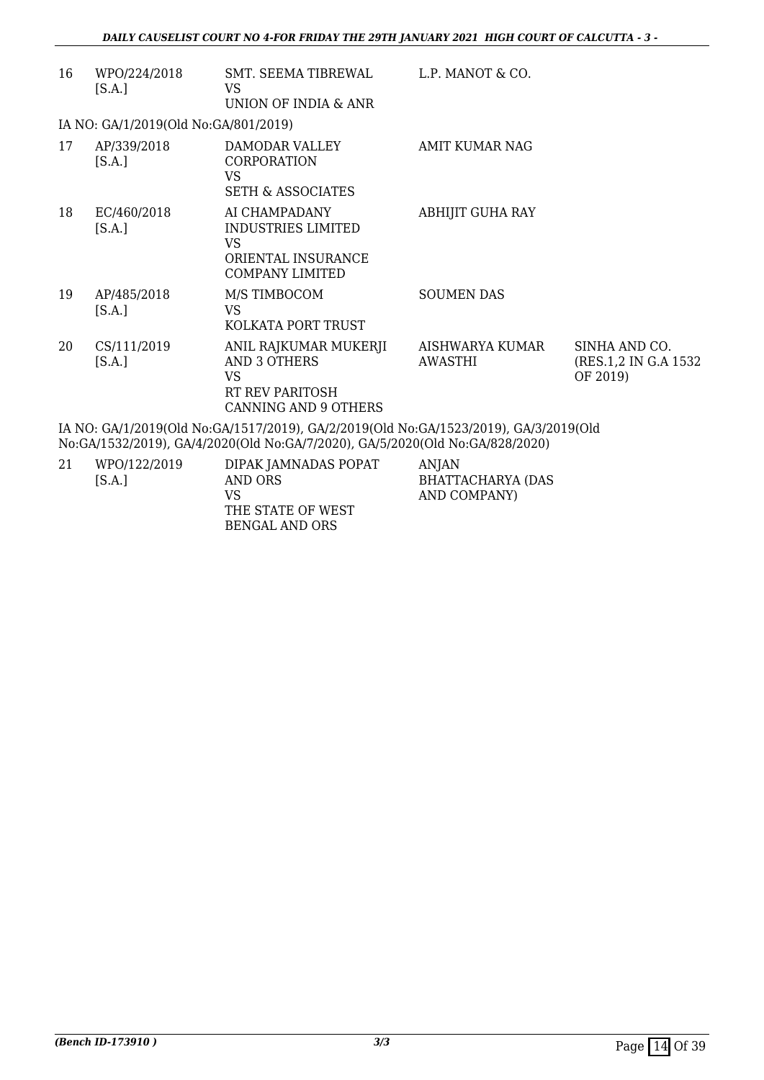| 16                                                                                                                                                                   | WPO/224/2018<br>[S.A.]               | SMT. SEEMA TIBREWAL<br>VS<br>UNION OF INDIA & ANR                                             | L.P. MANOT & CO.           |                                                    |
|----------------------------------------------------------------------------------------------------------------------------------------------------------------------|--------------------------------------|-----------------------------------------------------------------------------------------------|----------------------------|----------------------------------------------------|
|                                                                                                                                                                      | IA NO: GA/1/2019(Old No:GA/801/2019) |                                                                                               |                            |                                                    |
| 17                                                                                                                                                                   | AP/339/2018<br>[S.A.]                | DAMODAR VALLEY<br><b>CORPORATION</b><br>VS<br><b>SETH &amp; ASSOCIATES</b>                    | AMIT KUMAR NAG             |                                                    |
| 18                                                                                                                                                                   | EC/460/2018<br>[S.A.]                | AI CHAMPADANY<br>INDUSTRIES LIMITED<br>VS<br>ORIENTAL INSURANCE<br><b>COMPANY LIMITED</b>     | ABHIJIT GUHA RAY           |                                                    |
| 19                                                                                                                                                                   | AP/485/2018<br>[S.A.]                | M/S TIMBOCOM<br>VS<br>KOLKATA PORT TRUST                                                      | <b>SOUMEN DAS</b>          |                                                    |
| 20                                                                                                                                                                   | CS/111/2019<br>[S.A.]                | ANIL RAJKUMAR MUKERJI<br>AND 3 OTHERS<br><b>VS</b><br>RT REV PARITOSH<br>CANNING AND 9 OTHERS | AISHWARYA KUMAR<br>AWASTHI | SINHA AND CO.<br>(RES.1,2 IN G.A 1532)<br>OF 2019) |
| IA NO: GA/1/2019(Old No:GA/1517/2019), GA/2/2019(Old No:GA/1523/2019), GA/3/2019(Old<br>No:GA/1532/2019), GA/4/2020(Old No:GA/7/2020), GA/5/2020(Old No:GA/828/2020) |                                      |                                                                                               |                            |                                                    |

| 21 | WPO/122/2019<br>IS.A.I | DIPAK JAMNADAS POPAT<br>AND ORS<br>VS | ANIAN<br>BHATTACHARYA (DAS<br>AND COMPANY) |
|----|------------------------|---------------------------------------|--------------------------------------------|
|    |                        | THE STATE OF WEST                     |                                            |
|    |                        | BENGAL AND ORS                        |                                            |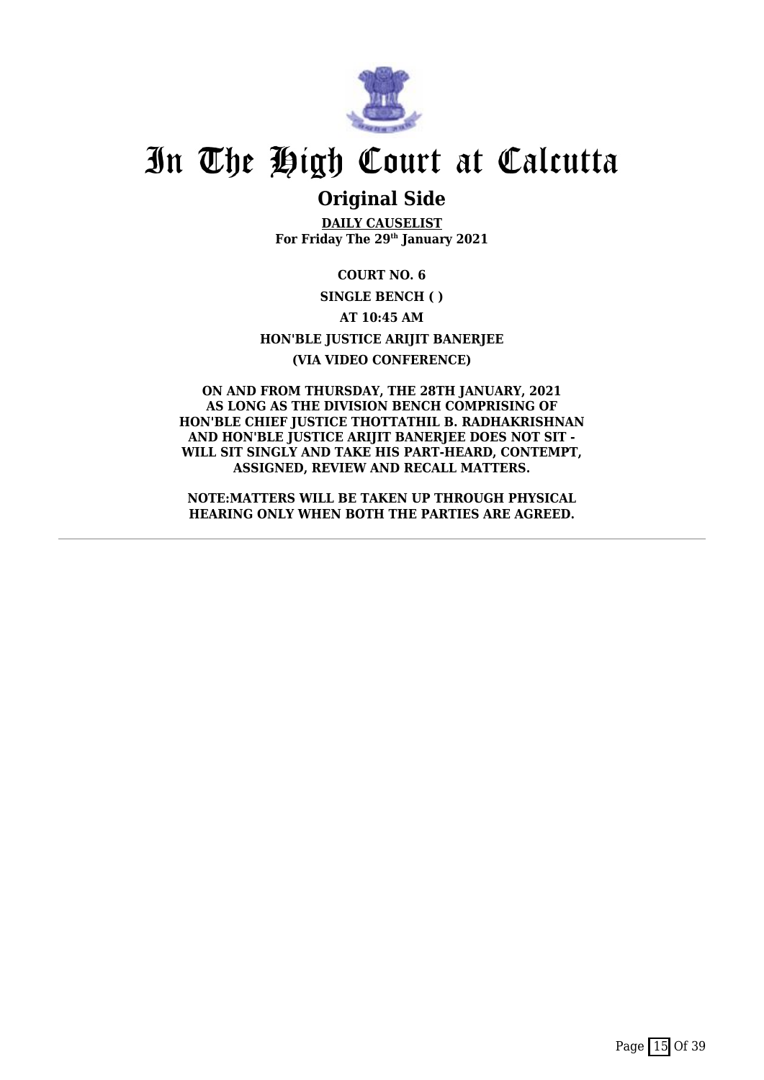

## **Original Side**

**DAILY CAUSELIST For Friday The 29th January 2021**

**COURT NO. 6 SINGLE BENCH ( ) AT 10:45 AM HON'BLE JUSTICE ARIJIT BANERJEE (VIA VIDEO CONFERENCE)**

**ON AND FROM THURSDAY, THE 28TH JANUARY, 2021 AS LONG AS THE DIVISION BENCH COMPRISING OF HON'BLE CHIEF JUSTICE THOTTATHIL B. RADHAKRISHNAN AND HON'BLE JUSTICE ARIJIT BANERJEE DOES NOT SIT - WILL SIT SINGLY AND TAKE HIS PART-HEARD, CONTEMPT, ASSIGNED, REVIEW AND RECALL MATTERS.**

**NOTE:MATTERS WILL BE TAKEN UP THROUGH PHYSICAL HEARING ONLY WHEN BOTH THE PARTIES ARE AGREED.**

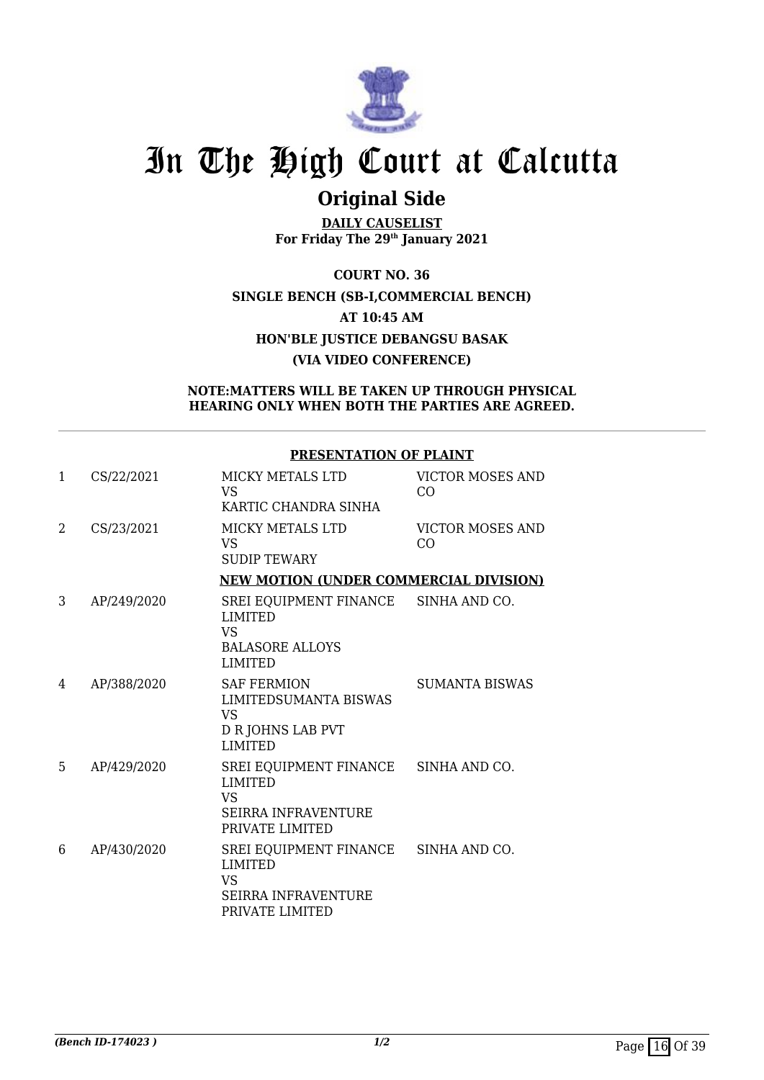

## **Original Side**

**DAILY CAUSELIST For Friday The 29th January 2021**

**COURT NO. 36 SINGLE BENCH (SB-I,COMMERCIAL BENCH) AT 10:45 AM HON'BLE JUSTICE DEBANGSU BASAK (VIA VIDEO CONFERENCE)**

### **NOTE:MATTERS WILL BE TAKEN UP THROUGH PHYSICAL HEARING ONLY WHEN BOTH THE PARTIES ARE AGREED.**

## **PRESENTATION OF PLAINT**

| $\mathbf{1}$ | CS/22/2021  | MICKY METALS LTD<br><b>VS</b><br>KARTIC CHANDRA SINHA                                                         | <b>VICTOR MOSES AND</b><br>CO             |
|--------------|-------------|---------------------------------------------------------------------------------------------------------------|-------------------------------------------|
| 2            | CS/23/2021  | <b>MICKY METALS LTD</b><br>VS<br><b>SUDIP TEWARY</b>                                                          | <b>VICTOR MOSES AND</b><br>C <sub>O</sub> |
|              |             | <b>NEW MOTION (UNDER COMMERCIAL DIVISION)</b>                                                                 |                                           |
| 3            | AP/249/2020 | SREI EQUIPMENT FINANCE SINHA AND CO.<br><b>LIMITED</b><br>VS<br><b>BALASORE ALLOYS</b><br><b>LIMITED</b>      |                                           |
| 4            | AP/388/2020 | <b>SAF FERMION</b><br>LIMITEDSUMANTA BISWAS<br>VS.<br>D R JOHNS LAB PVT<br><b>LIMITED</b>                     | <b>SUMANTA BISWAS</b>                     |
| 5.           | AP/429/2020 | SREI EQUIPMENT FINANCE SINHA AND CO.<br><b>LIMITED</b><br>VS<br><b>SEIRRA INFRAVENTURE</b><br>PRIVATE LIMITED |                                           |
| 6            | AP/430/2020 | SREI EQUIPMENT FINANCE SINHA AND CO.<br><b>LIMITED</b><br>VS<br><b>SEIRRA INFRAVENTURE</b><br>PRIVATE LIMITED |                                           |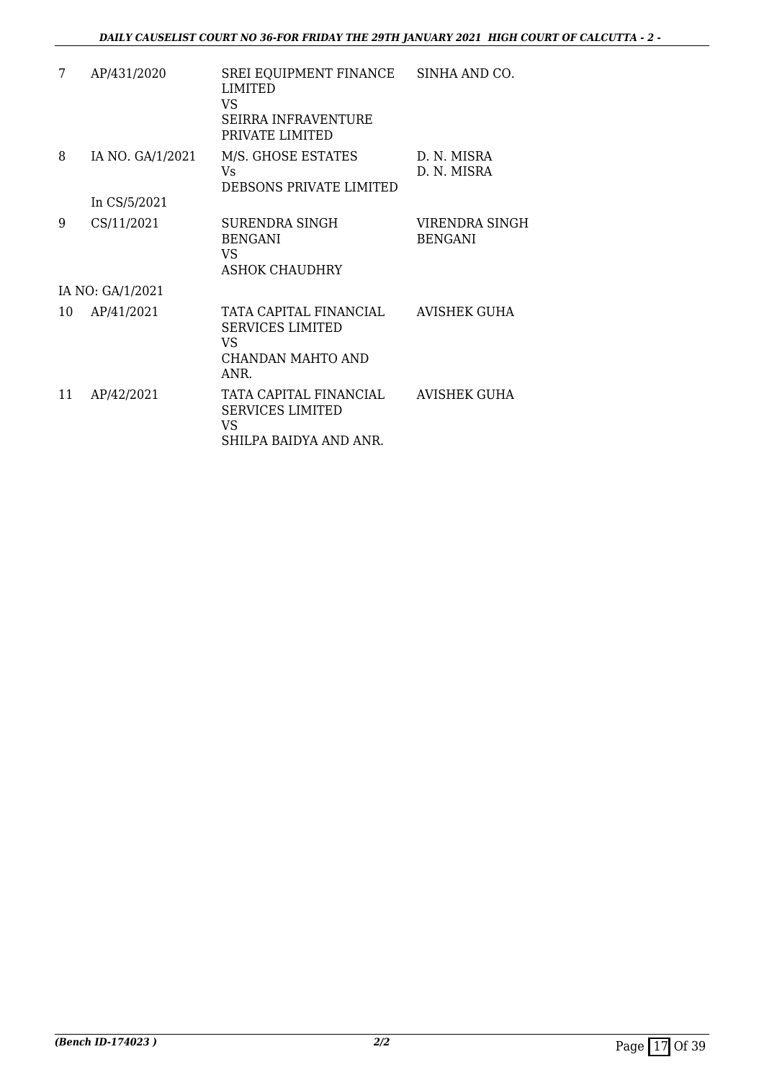| 7  | AP/431/2020      | SREI EQUIPMENT FINANCE<br><b>LIMITED</b><br>VS.<br>SEIRRA INFRAVENTURE<br>PRIVATE LIMITED | SINHA AND CO.                    |
|----|------------------|-------------------------------------------------------------------------------------------|----------------------------------|
| 8  | IA NO. GA/1/2021 | M/S. GHOSE ESTATES<br>Vs<br>DEBSONS PRIVATE LIMITED                                       | D. N. MISRA<br>D. N. MISRA       |
|    | In CS/5/2021     |                                                                                           |                                  |
| 9  | CS/11/2021       | <b>SURENDRA SINGH</b><br><b>BENGANI</b><br>VS.<br><b>ASHOK CHAUDHRY</b>                   | VIRENDRA SINGH<br><b>BENGANI</b> |
|    | IA NO: GA/1/2021 |                                                                                           |                                  |
| 10 | AP/41/2021       | TATA CAPITAL FINANCIAL<br><b>SERVICES LIMITED</b><br>VS.<br>CHANDAN MAHTO AND<br>ANR.     | AVISHEK GUHA                     |
| 11 | AP/42/2021       | TATA CAPITAL FINANCIAL<br><b>SERVICES LIMITED</b><br>VS.<br>SHILPA BAIDYA AND ANR.        | AVISHEK GUHA                     |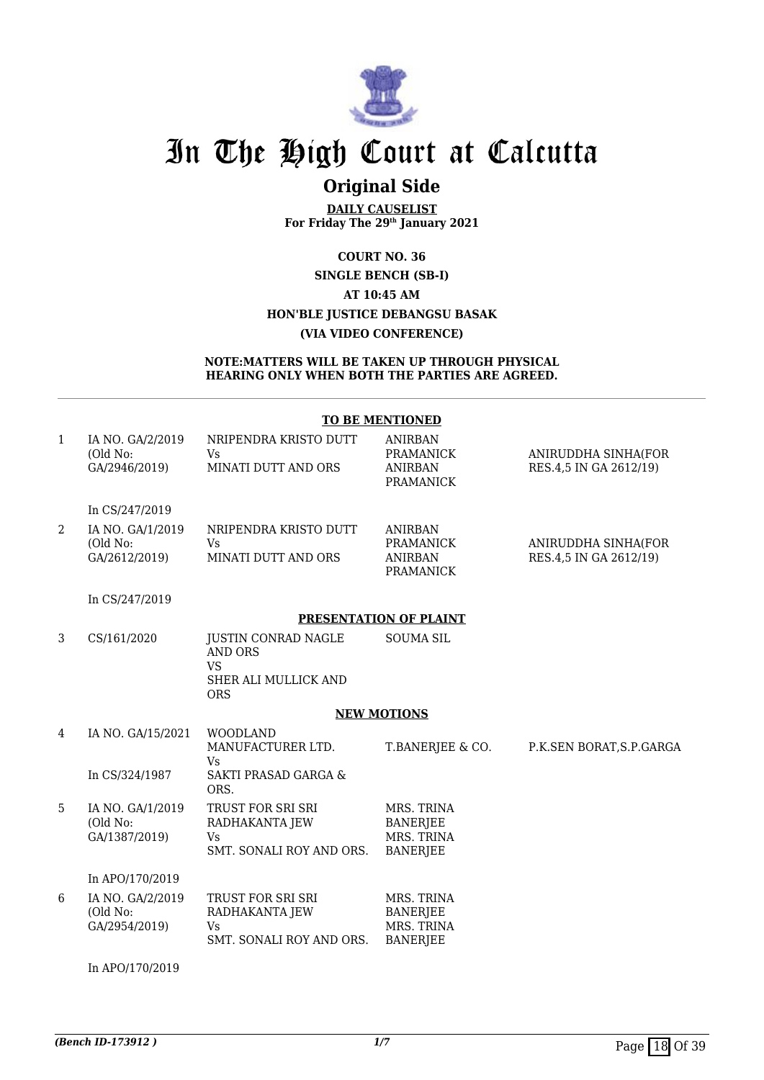

## **Original Side**

**DAILY CAUSELIST For Friday The 29th January 2021**

**COURT NO. 36 SINGLE BENCH (SB-I) AT 10:45 AM HON'BLE JUSTICE DEBANGSU BASAK (VIA VIDEO CONFERENCE)**

#### **NOTE:MATTERS WILL BE TAKEN UP THROUGH PHYSICAL HEARING ONLY WHEN BOTH THE PARTIES ARE AGREED.**

#### **TO BE MENTIONED**

| 1 | IA NO. GA/2/2019<br>(Old No:<br>GA/2946/2019) | NRIPENDRA KRISTO DUTT<br>Vs<br>MINATI DUTT AND ORS                                              | <b>ANIRBAN</b><br><b>PRAMANICK</b><br><b>ANIRBAN</b><br><b>PRAMANICK</b> | ANIRUDDHA SINHA(FOR<br>RES.4,5 IN GA 2612/19) |
|---|-----------------------------------------------|-------------------------------------------------------------------------------------------------|--------------------------------------------------------------------------|-----------------------------------------------|
|   | In CS/247/2019                                |                                                                                                 |                                                                          |                                               |
| 2 | IA NO. GA/1/2019<br>(Old No:<br>GA/2612/2019) | NRIPENDRA KRISTO DUTT<br>Vs<br>MINATI DUTT AND ORS                                              | <b>ANIRBAN</b><br><b>PRAMANICK</b><br><b>ANIRBAN</b><br><b>PRAMANICK</b> | ANIRUDDHA SINHA(FOR<br>RES.4,5 IN GA 2612/19) |
|   | In CS/247/2019                                |                                                                                                 |                                                                          |                                               |
|   |                                               |                                                                                                 | <b>PRESENTATION OF PLAINT</b>                                            |                                               |
| 3 | CS/161/2020                                   | <b>JUSTIN CONRAD NAGLE</b><br><b>AND ORS</b><br><b>VS</b><br>SHER ALI MULLICK AND<br><b>ORS</b> | <b>SOUMA SIL</b>                                                         |                                               |
|   |                                               |                                                                                                 | <b>NEW MOTIONS</b>                                                       |                                               |
| 4 | IA NO. GA/15/2021                             | <b>WOODLAND</b><br>MANUFACTURER LTD.<br>Vs                                                      | T.BANERJEE & CO.                                                         | P.K.SEN BORAT, S.P.GARGA                      |
|   | In CS/324/1987                                | <b>SAKTI PRASAD GARGA &amp;</b><br>ORS.                                                         |                                                                          |                                               |
| 5 | IA NO. GA/1/2019<br>(Old No:<br>GA/1387/2019) | TRUST FOR SRI SRI<br>RADHAKANTA JEW<br><b>Vs</b><br>SMT. SONALI ROY AND ORS.                    | MRS. TRINA<br><b>BANERJEE</b><br>MRS. TRINA<br><b>BANERJEE</b>           |                                               |
|   | In APO/170/2019                               |                                                                                                 |                                                                          |                                               |
| 6 | IA NO. GA/2/2019<br>(Old No:<br>GA/2954/2019) | TRUST FOR SRI SRI<br>RADHAKANTA JEW<br><b>V<sub>S</sub></b><br>SMT. SONALI ROY AND ORS.         | MRS. TRINA<br><b>BANERJEE</b><br>MRS. TRINA<br><b>BANERJEE</b>           |                                               |
|   | In APO/170/2019                               |                                                                                                 |                                                                          |                                               |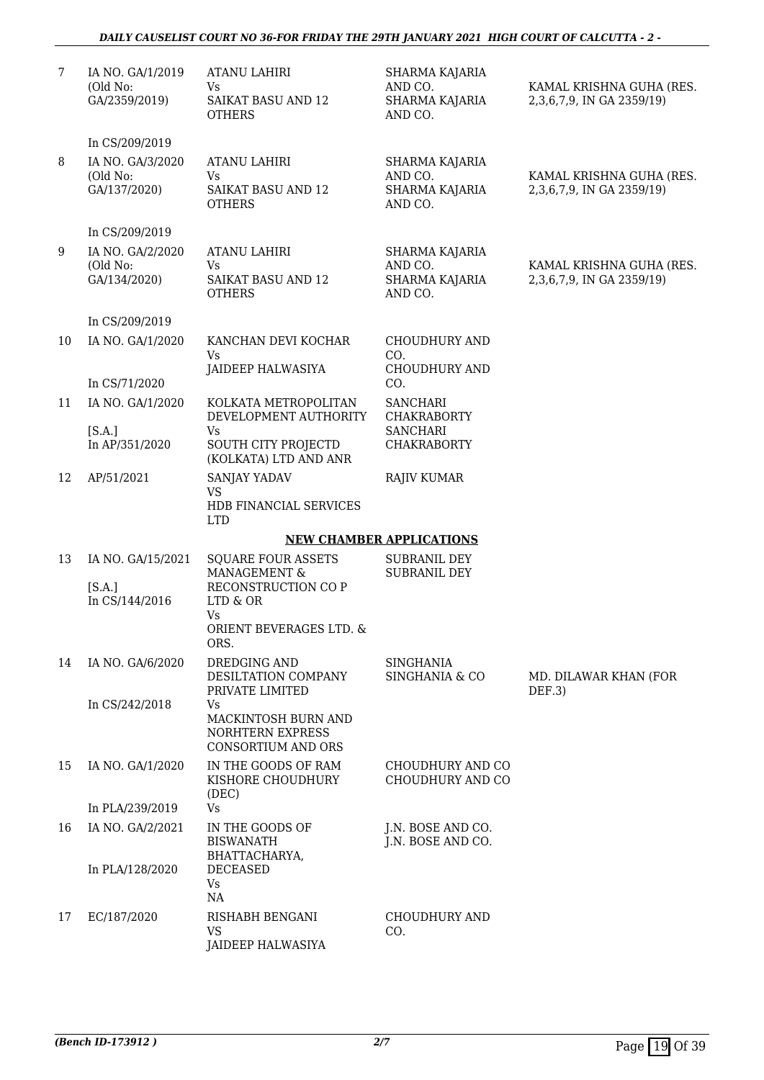### *DAILY CAUSELIST COURT NO 36-FOR FRIDAY THE 29TH JANUARY 2021 HIGH COURT OF CALCUTTA - 2 -*

| 7  | IA NO. GA/1/2019<br>(Old No:<br>GA/2359/2019) | <b>ATANU LAHIRI</b><br>Vs<br>SAIKAT BASU AND 12<br><b>OTHERS</b>                         | SHARMA KAJARIA<br>AND CO.<br>SHARMA KAJARIA<br>AND CO.        | KAMAL KRISHNA GUHA (RES.<br>2,3,6,7,9, IN GA 2359/19) |
|----|-----------------------------------------------|------------------------------------------------------------------------------------------|---------------------------------------------------------------|-------------------------------------------------------|
|    | In CS/209/2019                                |                                                                                          |                                                               |                                                       |
| 8  | IA NO. GA/3/2020<br>(Old No:<br>GA/137/2020)  | <b>ATANU LAHIRI</b><br><b>Vs</b><br><b>SAIKAT BASU AND 12</b><br><b>OTHERS</b>           | SHARMA KAJARIA<br>AND CO.<br><b>SHARMA KAJARIA</b><br>AND CO. | KAMAL KRISHNA GUHA (RES.<br>2,3,6,7,9, IN GA 2359/19) |
|    | In CS/209/2019                                |                                                                                          |                                                               |                                                       |
| 9  | IA NO. GA/2/2020<br>(Old No:<br>GA/134/2020)  | <b>ATANU LAHIRI</b><br>Vs<br><b>SAIKAT BASU AND 12</b><br><b>OTHERS</b>                  | SHARMA KAJARIA<br>AND CO.<br>SHARMA KAJARIA<br>AND CO.        | KAMAL KRISHNA GUHA (RES.<br>2,3,6,7,9, IN GA 2359/19) |
|    | In CS/209/2019                                |                                                                                          |                                                               |                                                       |
| 10 | IA NO. GA/1/2020                              | KANCHAN DEVI KOCHAR<br>Vs                                                                | <b>CHOUDHURY AND</b><br>CO.                                   |                                                       |
|    | In CS/71/2020                                 | JAIDEEP HALWASIYA                                                                        | <b>CHOUDHURY AND</b><br>CO.                                   |                                                       |
| 11 | IA NO. GA/1/2020                              | KOLKATA METROPOLITAN<br>DEVELOPMENT AUTHORITY                                            | <b>SANCHARI</b><br><b>CHAKRABORTY</b>                         |                                                       |
|    | [S.A.]<br>In AP/351/2020                      | Vs<br>SOUTH CITY PROJECTD<br>(KOLKATA) LTD AND ANR                                       | <b>SANCHARI</b><br><b>CHAKRABORTY</b>                         |                                                       |
| 12 | AP/51/2021                                    | SANJAY YADAV<br><b>VS</b>                                                                | <b>RAJIV KUMAR</b>                                            |                                                       |
|    |                                               | HDB FINANCIAL SERVICES<br><b>LTD</b>                                                     |                                                               |                                                       |
|    |                                               |                                                                                          | <b>NEW CHAMBER APPLICATIONS</b>                               |                                                       |
| 13 | IA NO. GA/15/2021<br>[S.A.]<br>In CS/144/2016 | <b>SQUARE FOUR ASSETS</b><br>MANAGEMENT &<br>RECONSTRUCTION CO P<br>LTD & OR             | <b>SUBRANIL DEY</b><br><b>SUBRANIL DEY</b>                    |                                                       |
|    |                                               | <b>Vs</b><br>ORIENT BEVERAGES LTD. &<br>ORS.                                             |                                                               |                                                       |
| 14 | IA NO. GA/6/2020                              | DREDGING AND<br>DESILTATION COMPANY<br>PRIVATE LIMITED                                   | SINGHANIA<br>SINGHANIA & CO                                   | MD. DILAWAR KHAN (FOR<br>DEF.3)                       |
|    | In CS/242/2018                                | Vs<br><b>MACKINTOSH BURN AND</b><br><b>NORHTERN EXPRESS</b><br><b>CONSORTIUM AND ORS</b> |                                                               |                                                       |
| 15 | IA NO. GA/1/2020                              | IN THE GOODS OF RAM<br>KISHORE CHOUDHURY<br>(DEC)                                        | CHOUDHURY AND CO<br>CHOUDHURY AND CO                          |                                                       |
|    | In PLA/239/2019                               | <b>Vs</b>                                                                                |                                                               |                                                       |
| 16 | IA NO. GA/2/2021                              | IN THE GOODS OF<br><b>BISWANATH</b><br>BHATTACHARYA,                                     | J.N. BOSE AND CO.<br>J.N. BOSE AND CO.                        |                                                       |
|    | In PLA/128/2020                               | <b>DECEASED</b><br>Vs<br>NA                                                              |                                                               |                                                       |
| 17 | EC/187/2020                                   | RISHABH BENGANI<br><b>VS</b><br><b>JAIDEEP HALWASIYA</b>                                 | <b>CHOUDHURY AND</b><br>CO.                                   |                                                       |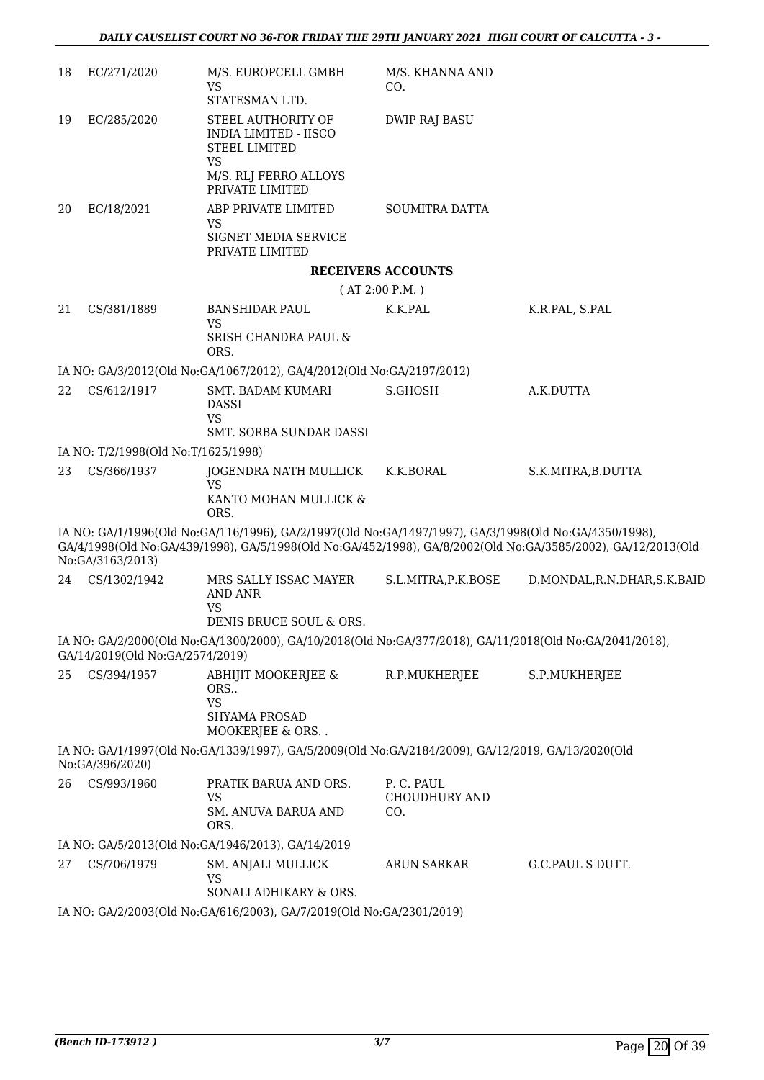| 18 | EC/271/2020                                                          | M/S. EUROPCELL GMBH<br><b>VS</b><br>STATESMAN LTD.                                                                                                                                                                    | M/S. KHANNA AND<br>CO.                   |                              |  |
|----|----------------------------------------------------------------------|-----------------------------------------------------------------------------------------------------------------------------------------------------------------------------------------------------------------------|------------------------------------------|------------------------------|--|
| 19 | EC/285/2020                                                          | STEEL AUTHORITY OF<br><b>INDIA LIMITED - IISCO</b><br><b>STEEL LIMITED</b><br><b>VS</b>                                                                                                                               | <b>DWIP RAJ BASU</b>                     |                              |  |
|    |                                                                      | M/S. RLJ FERRO ALLOYS<br>PRIVATE LIMITED                                                                                                                                                                              |                                          |                              |  |
| 20 | EC/18/2021                                                           | ABP PRIVATE LIMITED<br><b>VS</b><br>SIGNET MEDIA SERVICE<br>PRIVATE LIMITED                                                                                                                                           | SOUMITRA DATTA                           |                              |  |
|    |                                                                      |                                                                                                                                                                                                                       | <b>RECEIVERS ACCOUNTS</b>                |                              |  |
|    |                                                                      |                                                                                                                                                                                                                       | (AT 2:00 P.M.)                           |                              |  |
| 21 | CS/381/1889                                                          | <b>BANSHIDAR PAUL</b><br><b>VS</b>                                                                                                                                                                                    | K.K.PAL                                  | K.R.PAL, S.PAL               |  |
|    |                                                                      | <b>SRISH CHANDRA PAUL &amp;</b><br>ORS.                                                                                                                                                                               |                                          |                              |  |
|    |                                                                      | IA NO: GA/3/2012(Old No:GA/1067/2012), GA/4/2012(Old No:GA/2197/2012)                                                                                                                                                 |                                          |                              |  |
| 22 | CS/612/1917                                                          | <b>SMT. BADAM KUMARI</b><br><b>DASSI</b><br><b>VS</b>                                                                                                                                                                 | S.GHOSH                                  | A.K.DUTTA                    |  |
|    | IA NO: T/2/1998(Old No:T/1625/1998)                                  | SMT. SORBA SUNDAR DASSI                                                                                                                                                                                               |                                          |                              |  |
| 23 | CS/366/1937                                                          | JOGENDRA NATH MULLICK                                                                                                                                                                                                 | K.K.BORAL                                | S.K.MITRA, B.DUTTA           |  |
|    |                                                                      | <b>VS</b><br>KANTO MOHAN MULLICK &<br>ORS.                                                                                                                                                                            |                                          |                              |  |
|    | No:GA/3163/2013)                                                     | IA NO: GA/1/1996(Old No:GA/116/1996), GA/2/1997(Old No:GA/1497/1997), GA/3/1998(Old No:GA/4350/1998),<br>GA/4/1998(Old No:GA/439/1998), GA/5/1998(Old No:GA/452/1998), GA/8/2002(Old No:GA/3585/2002), GA/12/2013(Old |                                          |                              |  |
| 24 | CS/1302/1942                                                         | MRS SALLY ISSAC MAYER<br>AND ANR<br><b>VS</b><br>DENIS BRUCE SOUL & ORS.                                                                                                                                              | S.L.MITRA,P.K.BOSE                       | D.MONDAL, R.N.DHAR, S.K.BAID |  |
|    | GA/14/2019(Old No:GA/2574/2019)                                      | IA NO: GA/2/2000(Old No:GA/1300/2000), GA/10/2018(Old No:GA/377/2018), GA/11/2018(Old No:GA/2041/2018),                                                                                                               |                                          |                              |  |
| 25 | CS/394/1957                                                          | ABHIJIT MOOKERJEE &<br>ORS<br><b>VS</b><br>SHYAMA PROSAD<br>MOOKERJEE & ORS                                                                                                                                           | R.P.MUKHERJEE                            | S.P.MUKHERJEE                |  |
|    | No:GA/396/2020)                                                      | IA NO: GA/1/1997(Old No:GA/1339/1997), GA/5/2009(Old No:GA/2184/2009), GA/12/2019, GA/13/2020(Old                                                                                                                     |                                          |                              |  |
| 26 | CS/993/1960                                                          | PRATIK BARUA AND ORS.<br>VS<br>SM. ANUVA BARUA AND<br>ORS.                                                                                                                                                            | P.C. PAUL<br><b>CHOUDHURY AND</b><br>CO. |                              |  |
|    |                                                                      | IA NO: GA/5/2013(Old No:GA/1946/2013), GA/14/2019                                                                                                                                                                     |                                          |                              |  |
| 27 | CS/706/1979                                                          | SM. ANJALI MULLICK<br><b>VS</b><br>SONALI ADHIKARY & ORS.                                                                                                                                                             | <b>ARUN SARKAR</b>                       | G.C.PAUL S DUTT.             |  |
|    | IA NO: GA/2/2003(Old No:GA/616/2003), GA/7/2019(Old No:GA/2301/2019) |                                                                                                                                                                                                                       |                                          |                              |  |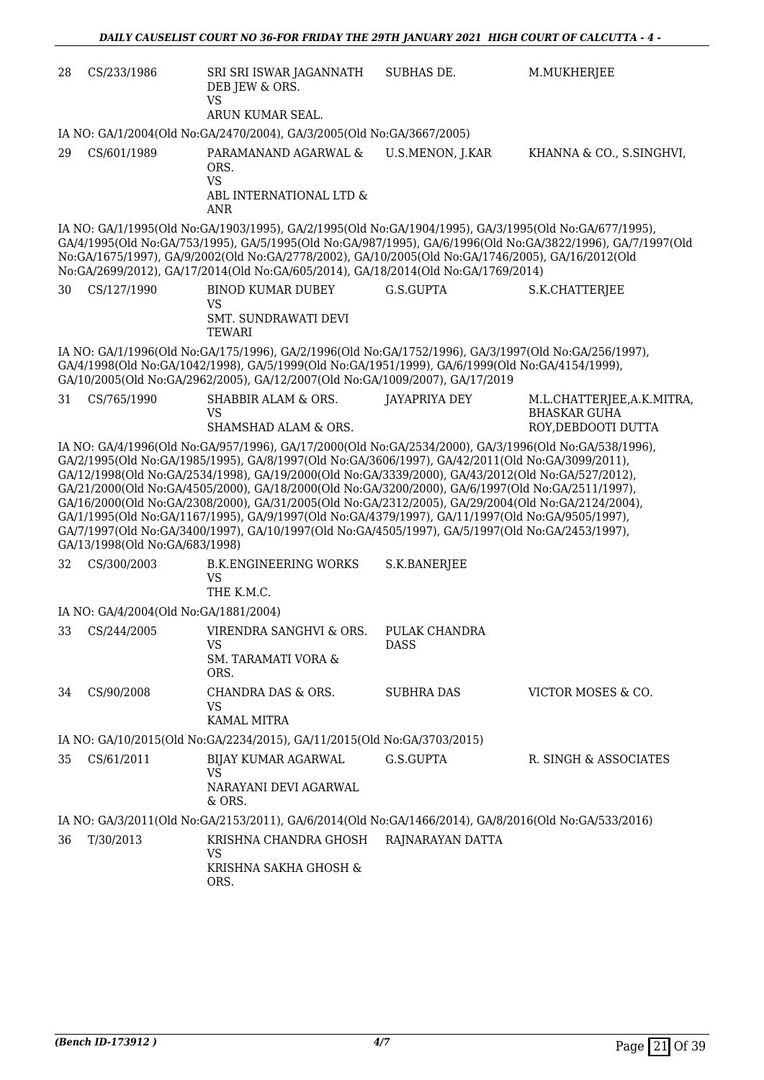| 28 | CS/233/1986                           | SRI SRI ISWAR JAGANNATH<br>DEB JEW & ORS.<br><b>VS</b>                                                                                                                                                                                                                                                                                                                                                                                                                                                                                                                                                                                                                                                                            | SUBHAS DE.                   | M.MUKHERJEE                                                             |
|----|---------------------------------------|-----------------------------------------------------------------------------------------------------------------------------------------------------------------------------------------------------------------------------------------------------------------------------------------------------------------------------------------------------------------------------------------------------------------------------------------------------------------------------------------------------------------------------------------------------------------------------------------------------------------------------------------------------------------------------------------------------------------------------------|------------------------------|-------------------------------------------------------------------------|
|    |                                       | ARUN KUMAR SEAL.                                                                                                                                                                                                                                                                                                                                                                                                                                                                                                                                                                                                                                                                                                                  |                              |                                                                         |
|    |                                       | IA NO: GA/1/2004(Old No:GA/2470/2004), GA/3/2005(Old No:GA/3667/2005)                                                                                                                                                                                                                                                                                                                                                                                                                                                                                                                                                                                                                                                             |                              |                                                                         |
| 29 | CS/601/1989                           | PARAMANAND AGARWAL &<br>ORS.<br><b>VS</b><br>ABL INTERNATIONAL LTD &<br><b>ANR</b>                                                                                                                                                                                                                                                                                                                                                                                                                                                                                                                                                                                                                                                | U.S.MENON, J.KAR             | KHANNA & CO., S.SINGHVI,                                                |
|    |                                       | IA NO: GA/1/1995(Old No:GA/1903/1995), GA/2/1995(Old No:GA/1904/1995), GA/3/1995(Old No:GA/677/1995),<br>GA/4/1995(Old No:GA/753/1995), GA/5/1995(Old No:GA/987/1995), GA/6/1996(Old No:GA/3822/1996), GA/7/1997(Old<br>No:GA/1675/1997), GA/9/2002(Old No:GA/2778/2002), GA/10/2005(Old No:GA/1746/2005), GA/16/2012(Old<br>No:GA/2699/2012), GA/17/2014(Old No:GA/605/2014), GA/18/2014(Old No:GA/1769/2014)                                                                                                                                                                                                                                                                                                                    |                              |                                                                         |
| 30 | CS/127/1990                           | <b>BINOD KUMAR DUBEY</b><br><b>VS</b><br>SMT. SUNDRAWATI DEVI<br>TEWARI                                                                                                                                                                                                                                                                                                                                                                                                                                                                                                                                                                                                                                                           | G.S.GUPTA                    | S.K.CHATTERJEE                                                          |
|    |                                       | IA NO: GA/1/1996(Old No:GA/175/1996), GA/2/1996(Old No:GA/1752/1996), GA/3/1997(Old No:GA/256/1997),<br>GA/4/1998(Old No:GA/1042/1998), GA/5/1999(Old No:GA/1951/1999), GA/6/1999(Old No:GA/4154/1999),<br>GA/10/2005(Old No:GA/2962/2005), GA/12/2007(Old No:GA/1009/2007), GA/17/2019                                                                                                                                                                                                                                                                                                                                                                                                                                           |                              |                                                                         |
| 31 | CS/765/1990                           | SHABBIR ALAM & ORS.<br><b>VS</b><br>SHAMSHAD ALAM & ORS.                                                                                                                                                                                                                                                                                                                                                                                                                                                                                                                                                                                                                                                                          | JAYAPRIYA DEY                | M.L.CHATTERJEE,A.K.MITRA,<br><b>BHASKAR GUHA</b><br>ROY, DEBDOOTI DUTTA |
|    | GA/13/1998(Old No:GA/683/1998)        | IA NO: GA/4/1996(Old No:GA/957/1996), GA/17/2000(Old No:GA/2534/2000), GA/3/1996(Old No:GA/538/1996),<br>GA/2/1995(Old No:GA/1985/1995), GA/8/1997(Old No:GA/3606/1997), GA/42/2011(Old No:GA/3099/2011),<br>GA/12/1998(Old No:GA/2534/1998), GA/19/2000(Old No:GA/3339/2000), GA/43/2012(Old No:GA/527/2012),<br>GA/21/2000(Old No:GA/4505/2000), GA/18/2000(Old No:GA/3200/2000), GA/6/1997(Old No:GA/2511/1997),<br>GA/16/2000(Old No:GA/2308/2000), GA/31/2005(Old No:GA/2312/2005), GA/29/2004(Old No:GA/2124/2004),<br>GA/1/1995(Old No:GA/1167/1995), GA/9/1997(Old No:GA/4379/1997), GA/11/1997(Old No:GA/9505/1997),<br>GA/7/1997(Old No:GA/3400/1997), GA/10/1997(Old No:GA/4505/1997), GA/5/1997(Old No:GA/2453/1997), |                              |                                                                         |
| 32 | CS/300/2003                           | <b>B.K.ENGINEERING WORKS</b><br><b>VS</b><br>THE K.M.C.                                                                                                                                                                                                                                                                                                                                                                                                                                                                                                                                                                                                                                                                           | S.K.BANERJEE                 |                                                                         |
|    | IA NO: GA/4/2004(Old No:GA/1881/2004) |                                                                                                                                                                                                                                                                                                                                                                                                                                                                                                                                                                                                                                                                                                                                   |                              |                                                                         |
| 33 | CS/244/2005                           | VIRENDRA SANGHVI & ORS.<br><b>VS</b><br><b>SM. TARAMATI VORA &amp;</b><br>ORS.                                                                                                                                                                                                                                                                                                                                                                                                                                                                                                                                                                                                                                                    | PULAK CHANDRA<br><b>DASS</b> |                                                                         |
| 34 | CS/90/2008                            | CHANDRA DAS & ORS.<br><b>VS</b><br><b>KAMAL MITRA</b>                                                                                                                                                                                                                                                                                                                                                                                                                                                                                                                                                                                                                                                                             | <b>SUBHRA DAS</b>            | VICTOR MOSES & CO.                                                      |
|    |                                       | IA NO: GA/10/2015(Old No:GA/2234/2015), GA/11/2015(Old No:GA/3703/2015)                                                                                                                                                                                                                                                                                                                                                                                                                                                                                                                                                                                                                                                           |                              |                                                                         |
| 35 | CS/61/2011                            | BIJAY KUMAR AGARWAL<br><b>VS</b><br>NARAYANI DEVI AGARWAL<br>& ORS.                                                                                                                                                                                                                                                                                                                                                                                                                                                                                                                                                                                                                                                               | G.S.GUPTA                    | R. SINGH & ASSOCIATES                                                   |
|    |                                       | IA NO: GA/3/2011(Old No:GA/2153/2011), GA/6/2014(Old No:GA/1466/2014), GA/8/2016(Old No:GA/533/2016)                                                                                                                                                                                                                                                                                                                                                                                                                                                                                                                                                                                                                              |                              |                                                                         |
| 36 | T/30/2013                             | KRISHNA CHANDRA GHOSH<br>VS<br>KRISHNA SAKHA GHOSH &<br>ORS.                                                                                                                                                                                                                                                                                                                                                                                                                                                                                                                                                                                                                                                                      | RAJNARAYAN DATTA             |                                                                         |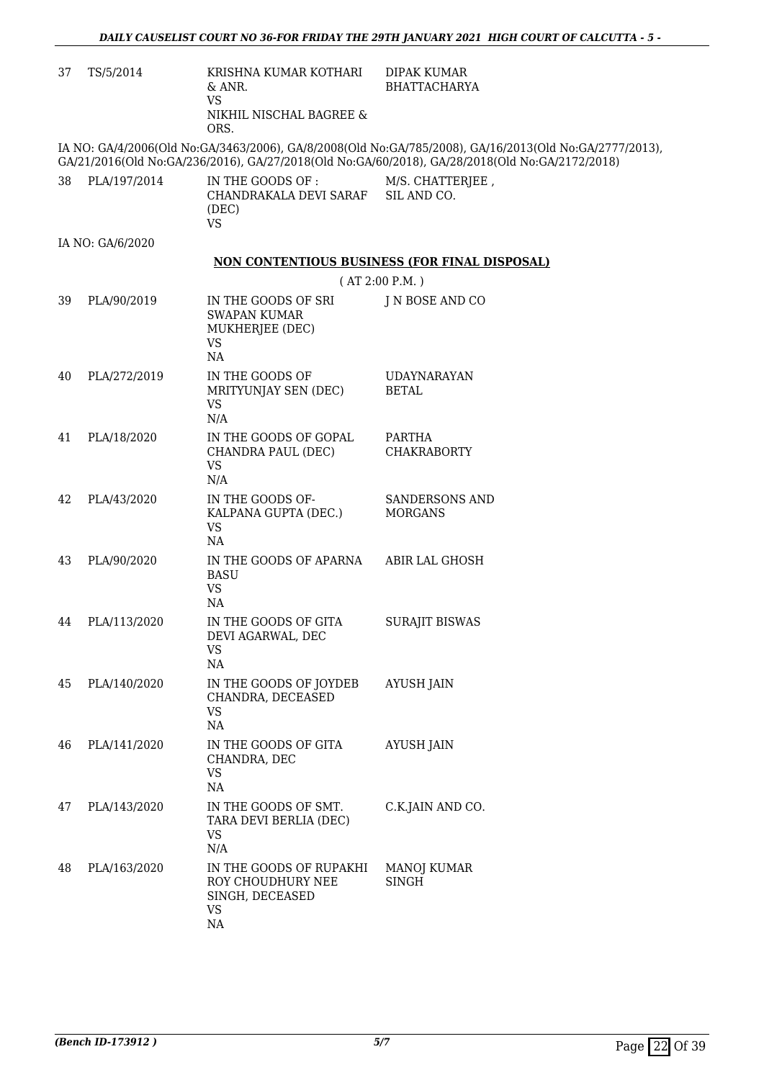| 37 | TS/5/2014        | KRISHNA KUMAR KOTHARI<br>& ANR.                                                   | <b>DIPAK KUMAR</b><br><b>BHATTACHARYA</b>                                                                                                                                                                |
|----|------------------|-----------------------------------------------------------------------------------|----------------------------------------------------------------------------------------------------------------------------------------------------------------------------------------------------------|
|    |                  | VS.<br>NIKHIL NISCHAL BAGREE &<br>ORS.                                            |                                                                                                                                                                                                          |
|    |                  |                                                                                   | IA NO: GA/4/2006(Old No:GA/3463/2006), GA/8/2008(Old No:GA/785/2008), GA/16/2013(Old No:GA/2777/2013),<br>GA/21/2016(Old No:GA/236/2016), GA/27/2018(Old No:GA/60/2018), GA/28/2018(Old No:GA/2172/2018) |
| 38 | PLA/197/2014     | IN THE GOODS OF :<br>CHANDRAKALA DEVI SARAF SIL AND CO.<br>(DEC)<br><b>VS</b>     | M/S. CHATTERJEE,                                                                                                                                                                                         |
|    | IA NO: GA/6/2020 |                                                                                   |                                                                                                                                                                                                          |
|    |                  |                                                                                   | NON CONTENTIOUS BUSINESS (FOR FINAL DISPOSAL)                                                                                                                                                            |
|    |                  |                                                                                   | (AT 2:00 P.M.)                                                                                                                                                                                           |
| 39 | PLA/90/2019      | IN THE GOODS OF SRI<br><b>SWAPAN KUMAR</b><br>MUKHERJEE (DEC)<br>VS<br>NA         | J N BOSE AND CO                                                                                                                                                                                          |
| 40 | PLA/272/2019     | IN THE GOODS OF<br>MRITYUNJAY SEN (DEC)<br><b>VS</b><br>N/A                       | <b>UDAYNARAYAN</b><br><b>BETAL</b>                                                                                                                                                                       |
| 41 | PLA/18/2020      | IN THE GOODS OF GOPAL<br>CHANDRA PAUL (DEC)<br><b>VS</b><br>N/A                   | PARTHA<br><b>CHAKRABORTY</b>                                                                                                                                                                             |
| 42 | PLA/43/2020      | IN THE GOODS OF-<br>KALPANA GUPTA (DEC.)<br>VS.<br>NA                             | <b>SANDERSONS AND</b><br><b>MORGANS</b>                                                                                                                                                                  |
| 43 | PLA/90/2020      | IN THE GOODS OF APARNA<br><b>BASU</b><br>VS<br>NA                                 | ABIR LAL GHOSH                                                                                                                                                                                           |
| 44 | PLA/113/2020     | IN THE GOODS OF GITA<br>DEVI AGARWAL, DEC<br>VS<br>NA                             | <b>SURAJIT BISWAS</b>                                                                                                                                                                                    |
| 45 | PLA/140/2020     | IN THE GOODS OF JOYDEB<br>CHANDRA, DECEASED<br>VS<br>NA                           | AYUSH JAIN                                                                                                                                                                                               |
| 46 | PLA/141/2020     | IN THE GOODS OF GITA<br>CHANDRA, DEC<br>VS<br>NA                                  | AYUSH JAIN                                                                                                                                                                                               |
| 47 | PLA/143/2020     | IN THE GOODS OF SMT.<br>TARA DEVI BERLIA (DEC)<br>VS<br>N/A                       | C.K.JAIN AND CO.                                                                                                                                                                                         |
| 48 | PLA/163/2020     | IN THE GOODS OF RUPAKHI<br>ROY CHOUDHURY NEE<br>SINGH, DECEASED<br>VS<br>$\rm NA$ | MANOJ KUMAR<br><b>SINGH</b>                                                                                                                                                                              |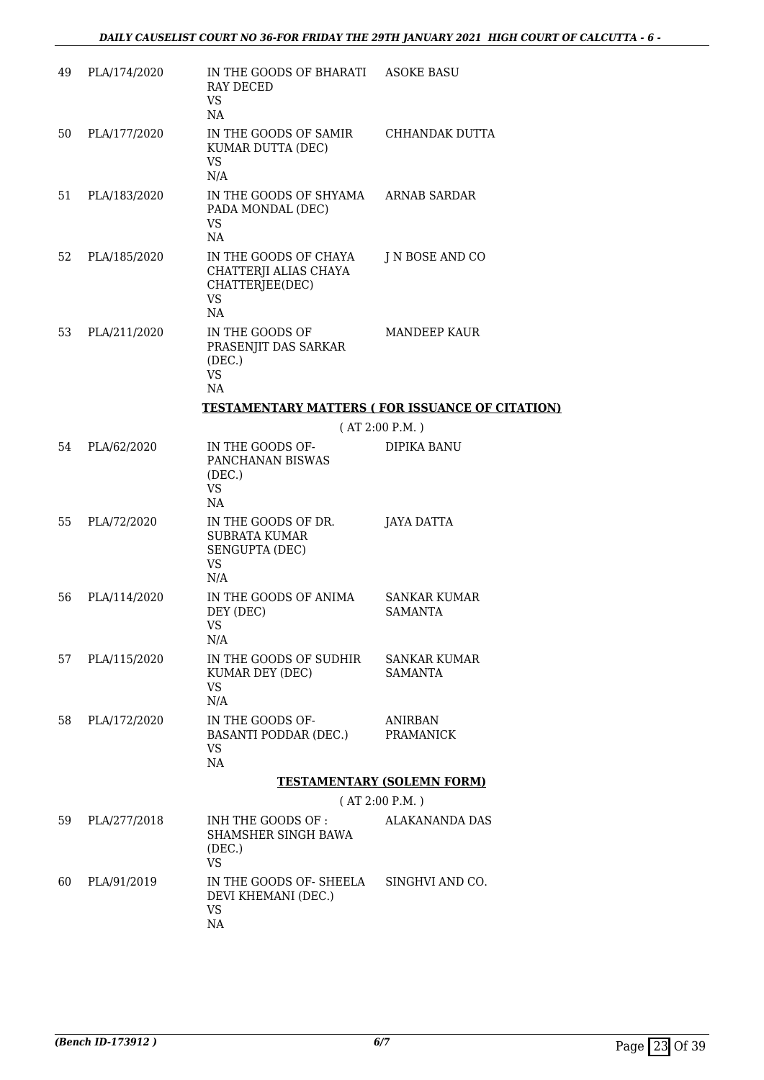| 49 | PLA/174/2020 | IN THE GOODS OF BHARATI ASOKE BASU<br><b>RAY DECED</b><br>VS.<br>NA                  |                                                        |
|----|--------------|--------------------------------------------------------------------------------------|--------------------------------------------------------|
| 50 | PLA/177/2020 | IN THE GOODS OF SAMIR CHHANDAK DUTTA<br>KUMAR DUTTA (DEC)<br>VS.<br>N/A              |                                                        |
| 51 | PLA/183/2020 | IN THE GOODS OF SHYAMA ARNAB SARDAR<br>PADA MONDAL (DEC)<br>VS.<br>NA                |                                                        |
| 52 | PLA/185/2020 | IN THE GOODS OF CHAYA<br>CHATTERJI ALIAS CHAYA<br>CHATTERJEE(DEC)<br><b>VS</b><br>NA | J N BOSE AND CO                                        |
| 53 | PLA/211/2020 | IN THE GOODS OF<br>PRASENJIT DAS SARKAR<br>(DEC.)<br><b>VS</b><br>NA                 | <b>MANDEEP KAUR</b>                                    |
|    |              |                                                                                      | <b>TESTAMENTARY MATTERS (FOR ISSUANCE OF CITATION)</b> |
|    |              |                                                                                      | (AT 2:00 P.M.)                                         |
| 54 | PLA/62/2020  | IN THE GOODS OF-<br>PANCHANAN BISWAS<br>(DEC.)<br><b>VS</b><br>NA.                   | DIPIKA BANU                                            |
| 55 | PLA/72/2020  | IN THE GOODS OF DR.<br><b>SUBRATA KUMAR</b><br>SENGUPTA (DEC)<br><b>VS</b><br>N/A    | JAYA DATTA                                             |
| 56 | PLA/114/2020 | IN THE GOODS OF ANIMA<br>DEY (DEC)<br>VS<br>N/A                                      | SANKAR KUMAR<br><b>SAMANTA</b>                         |
| 57 | PLA/115/2020 | IN THE GOODS OF SUDHIR<br>KUMAR DEY (DEC)<br><b>VS</b><br>N/A                        | SANKAR KUMAR<br><b>SAMANTA</b>                         |
| 58 | PLA/172/2020 | IN THE GOODS OF-<br>BASANTI PODDAR (DEC.) PRAMANICK<br>VS.<br>NA                     | <b>ANIRBAN</b>                                         |
|    |              |                                                                                      | <b>TESTAMENTARY (SOLEMN FORM)</b>                      |
|    |              |                                                                                      | (AT 2:00 P.M.)                                         |
| 59 | PLA/277/2018 | INH THE GOODS OF :<br>SHAMSHER SINGH BAWA<br>(DEC.)<br><b>VS</b>                     | ALAKANANDA DAS                                         |
| 60 | PLA/91/2019  | IN THE GOODS OF- SHEELA SINGHVI AND CO.<br>DEVI KHEMANI (DEC.)<br>VS<br>NA           |                                                        |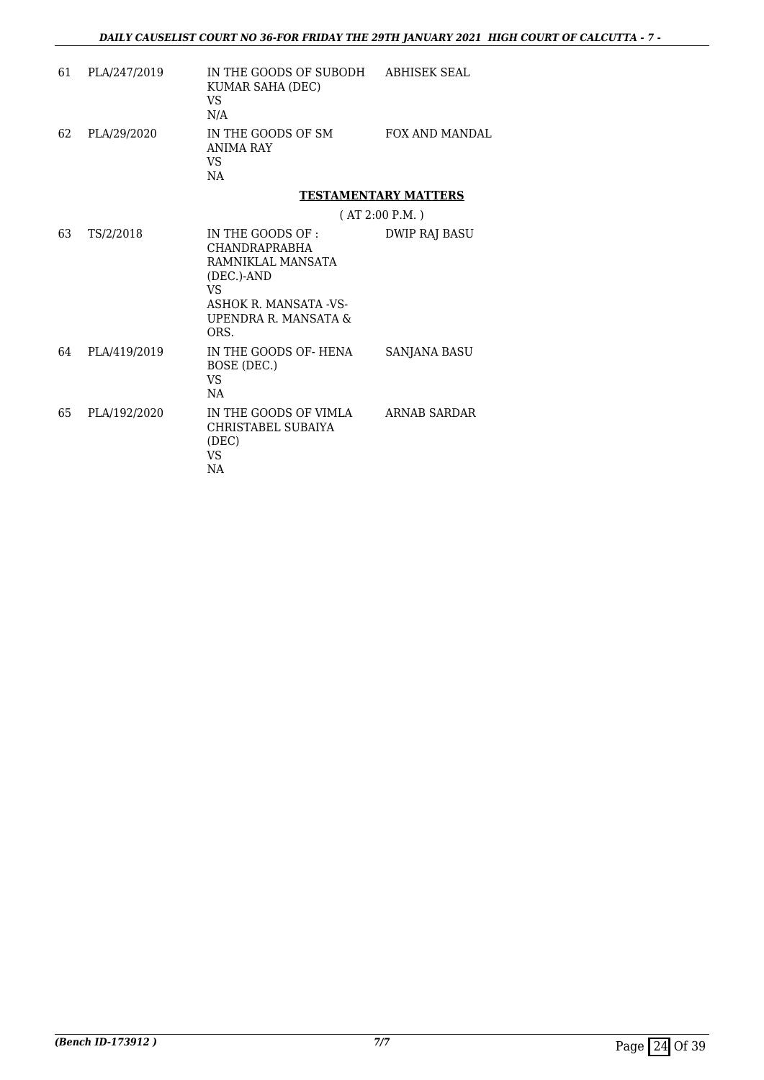| 61 | PLA/247/2019 | IN THE GOODS OF SUBODH<br>KUMAR SAHA (DEC)<br>VS.<br>N/A                                                                                      | ABHISEK SEAL                |
|----|--------------|-----------------------------------------------------------------------------------------------------------------------------------------------|-----------------------------|
| 62 | PLA/29/2020  | IN THE GOODS OF SM<br><b>ANIMA RAY</b><br>VS.<br>NA                                                                                           | <b>FOX AND MANDAL</b>       |
|    |              |                                                                                                                                               | <b>TESTAMENTARY MATTERS</b> |
|    |              |                                                                                                                                               | (AT 2:00 P.M.)              |
| 63 | TS/2/2018    | IN THE GOODS OF :<br><b>CHANDRAPRABHA</b><br>RAMNIKLAL MANSATA<br>(DEC.)-AND<br>VS.<br>ASHOK R. MANSATA - VS-<br>UPENDRA R. MANSATA &<br>ORS. | DWIP RAJ BASU               |
| 64 | PLA/419/2019 | IN THE GOODS OF-HENA<br>BOSE (DEC.)<br>VS.<br>NA                                                                                              | <b>SANJANA BASU</b>         |
| 65 | PLA/192/2020 | IN THE GOODS OF VIMLA<br>CHRISTABEL SUBAIYA<br>(DEC)<br>VS.<br>NA                                                                             | ARNAB SARDAR                |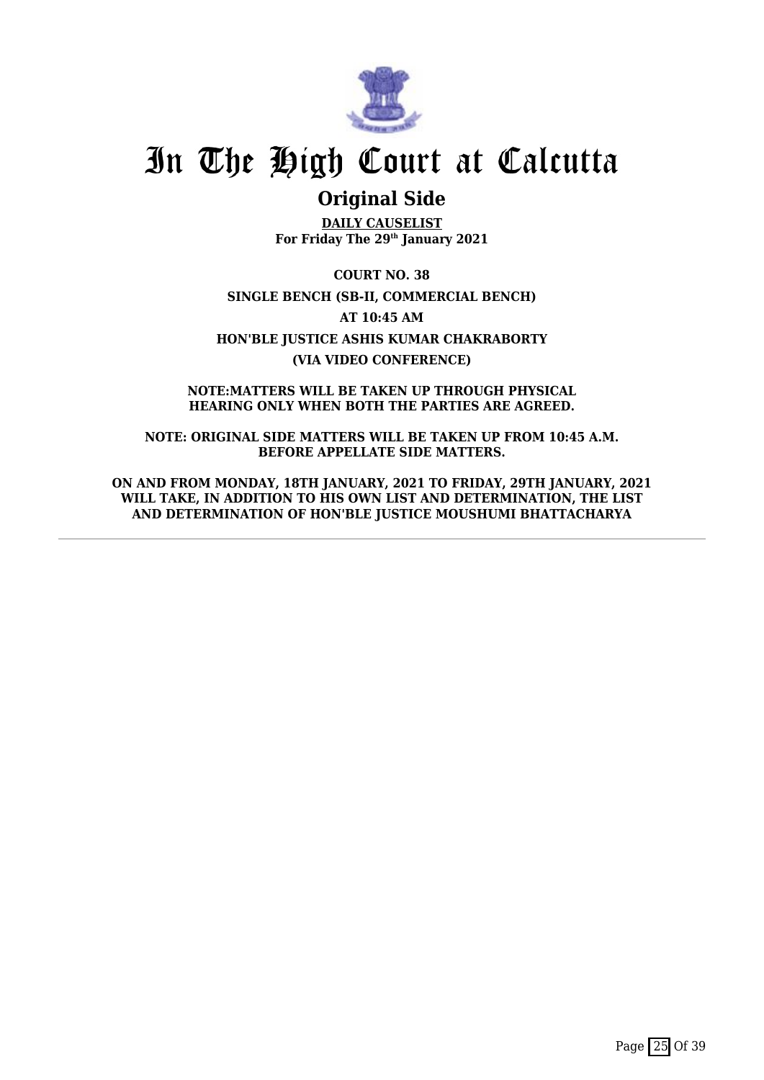

## **Original Side**

**DAILY CAUSELIST For Friday The 29th January 2021**

**COURT NO. 38 SINGLE BENCH (SB-II, COMMERCIAL BENCH) AT 10:45 AM HON'BLE JUSTICE ASHIS KUMAR CHAKRABORTY (VIA VIDEO CONFERENCE)**

**NOTE:MATTERS WILL BE TAKEN UP THROUGH PHYSICAL HEARING ONLY WHEN BOTH THE PARTIES ARE AGREED.**

**NOTE: ORIGINAL SIDE MATTERS WILL BE TAKEN UP FROM 10:45 A.M. BEFORE APPELLATE SIDE MATTERS.**

**ON AND FROM MONDAY, 18TH JANUARY, 2021 TO FRIDAY, 29TH JANUARY, 2021** WILL TAKE, IN ADDITION TO HIS OWN LIST AND DETERMINATION, THE LIST **AND DETERMINATION OF HON'BLE JUSTICE MOUSHUMI BHATTACHARYA**

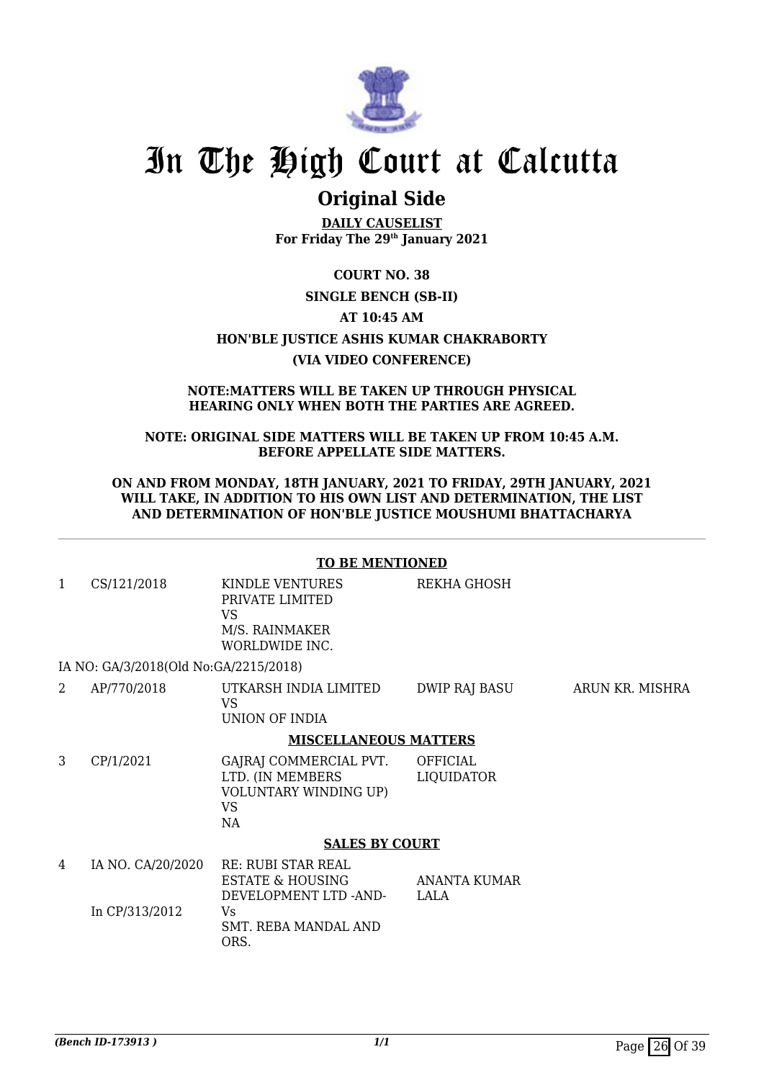

## **Original Side**

**DAILY CAUSELIST For Friday The 29th January 2021**

**COURT NO. 38 SINGLE BENCH (SB-II) AT 10:45 AM HON'BLE JUSTICE ASHIS KUMAR CHAKRABORTY (VIA VIDEO CONFERENCE)**

#### **NOTE:MATTERS WILL BE TAKEN UP THROUGH PHYSICAL HEARING ONLY WHEN BOTH THE PARTIES ARE AGREED.**

### **NOTE: ORIGINAL SIDE MATTERS WILL BE TAKEN UP FROM 10:45 A.M. BEFORE APPELLATE SIDE MATTERS.**

#### **ON AND FROM MONDAY, 18TH JANUARY, 2021 TO FRIDAY, 29TH JANUARY, 2021 WILL TAKE, IN ADDITION TO HIS OWN LIST AND DETERMINATION, THE LIST AND DETERMINATION OF HON'BLE JUSTICE MOUSHUMI BHATTACHARYA**

## **TO BE MENTIONED**

- 1 CS/121/2018 KINDLE VENTURES PRIVATE LIMITED VS M/S. RAINMAKER WORLDWIDE INC. REKHA GHOSH IA NO: GA/3/2018(Old No:GA/2215/2018)
- 2 AP/770/2018 UTKARSH INDIA LIMITED VS UNION OF INDIA DWIP RAJ BASU ARUN KR. MISHRA

## **MISCELLANEOUS MATTERS**

3 CP/1/2021 GAJRAJ COMMERCIAL PVT. LTD. (IN MEMBERS VOLUNTARY WINDING UP) VS NA OFFICIAL LIQUIDATOR

#### **SALES BY COURT**

4 IA NO. CA/20/2020 In CP/313/2012 RE: RUBI STAR REAL ESTATE & HOUSING DEVELOPMENT LTD -AND- $V<sub>c</sub>$ SMT. REBA MANDAL AND ORS. ANANTA KUMAR LALA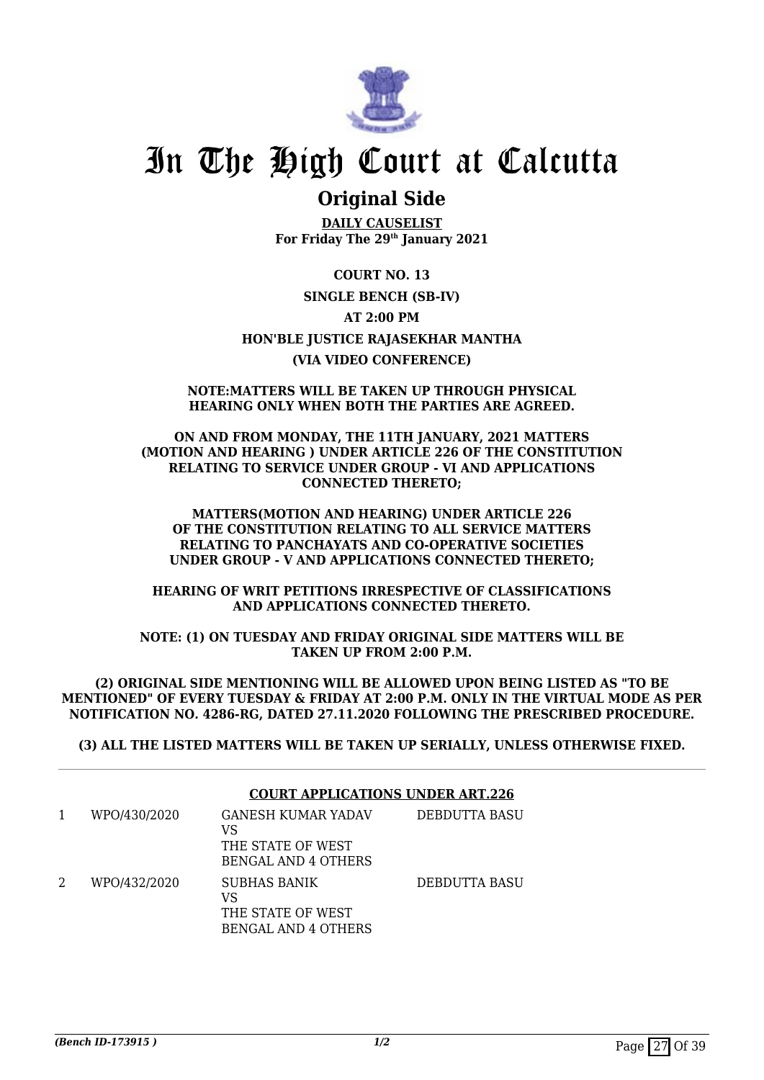

## **Original Side**

**DAILY CAUSELIST For Friday The 29th January 2021**

**COURT NO. 13 SINGLE BENCH (SB-IV) AT 2:00 PM HON'BLE JUSTICE RAJASEKHAR MANTHA (VIA VIDEO CONFERENCE)**

#### **NOTE:MATTERS WILL BE TAKEN UP THROUGH PHYSICAL HEARING ONLY WHEN BOTH THE PARTIES ARE AGREED.**

**ON AND FROM MONDAY, THE 11TH JANUARY, 2021 MATTERS (MOTION AND HEARING ) UNDER ARTICLE 226 OF THE CONSTITUTION RELATING TO SERVICE UNDER GROUP - VI AND APPLICATIONS CONNECTED THERETO;**

**MATTERS(MOTION AND HEARING) UNDER ARTICLE 226 OF THE CONSTITUTION RELATING TO ALL SERVICE MATTERS RELATING TO PANCHAYATS AND CO-OPERATIVE SOCIETIES UNDER GROUP - V AND APPLICATIONS CONNECTED THERETO;**

**HEARING OF WRIT PETITIONS IRRESPECTIVE OF CLASSIFICATIONS AND APPLICATIONS CONNECTED THERETO.**

**NOTE: (1) ON TUESDAY AND FRIDAY ORIGINAL SIDE MATTERS WILL BE TAKEN UP FROM 2:00 P.M.**

**(2) ORIGINAL SIDE MENTIONING WILL BE ALLOWED UPON BEING LISTED AS "TO BE MENTIONED" OF EVERY TUESDAY & FRIDAY AT 2:00 P.M. ONLY IN THE VIRTUAL MODE AS PER NOTIFICATION NO. 4286-RG, DATED 27.11.2020 FOLLOWING THE PRESCRIBED PROCEDURE.**

**(3) ALL THE LISTED MATTERS WILL BE TAKEN UP SERIALLY, UNLESS OTHERWISE FIXED.**

|   |              | <b>COURT APPLICATIONS UNDER ART.226</b>                               |               |  |
|---|--------------|-----------------------------------------------------------------------|---------------|--|
| 1 | WPO/430/2020 | GANESH KUMAR YADAV<br>VS<br>THE STATE OF WEST<br>BENGAL AND 4 OTHERS  | DEBDUTTA BASU |  |
| 2 | WPO/432/2020 | SUBHAS BANIK<br>VS<br>THE STATE OF WEST<br><b>BENGAL AND 4 OTHERS</b> | DEBDUTTA BASU |  |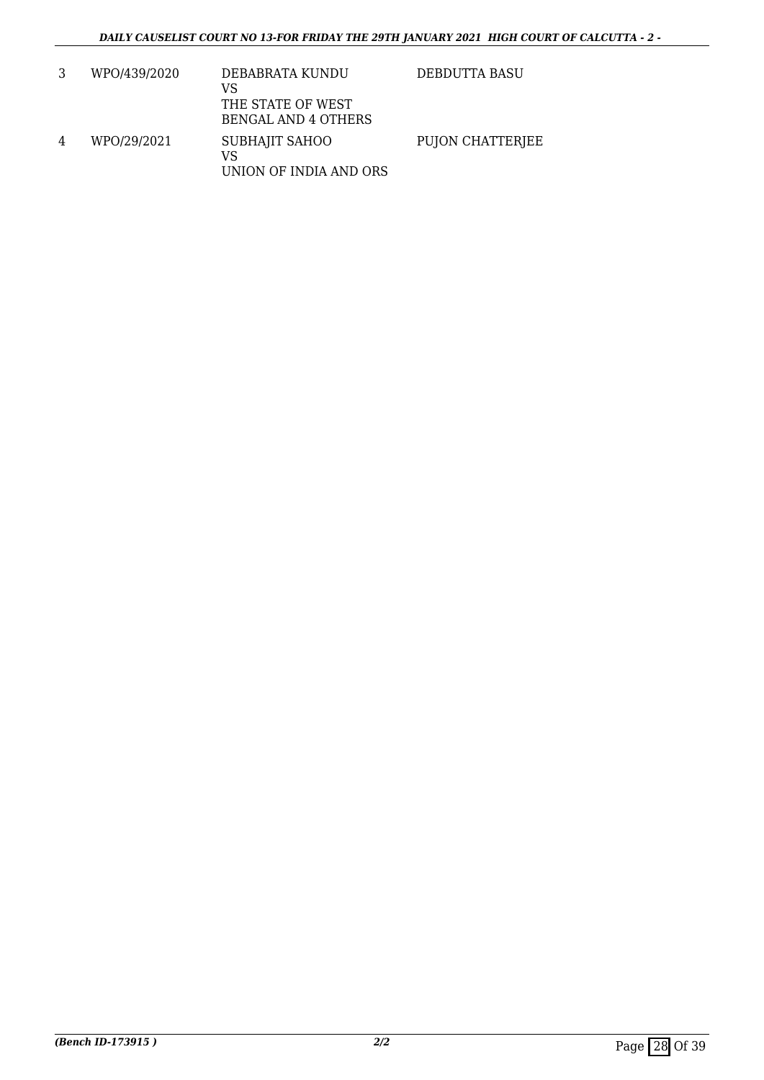|   | WPO/439/2020 | DEBABRATA KUNDU<br>VS<br>THE STATE OF WEST<br>BENGAL AND 4 OTHERS | DEBDUTTA BASU    |
|---|--------------|-------------------------------------------------------------------|------------------|
| 4 | WPO/29/2021  | SUBHAJIT SAHOO<br>VS<br>UNION OF INDIA AND ORS                    | PUJON CHATTERJEE |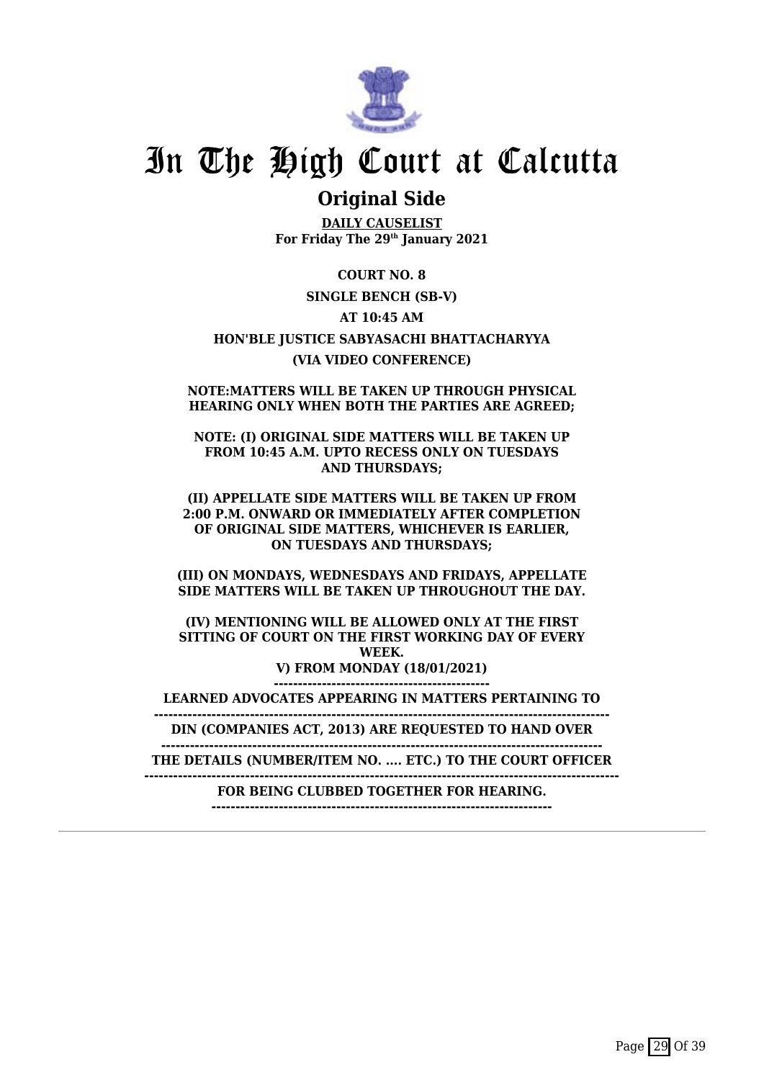

## **Original Side**

**DAILY CAUSELIST For Friday The 29th January 2021**

**COURT NO. 8 SINGLE BENCH (SB-V) AT 10:45 AM HON'BLE JUSTICE SABYASACHI BHATTACHARYYA (VIA VIDEO CONFERENCE)**

**NOTE:MATTERS WILL BE TAKEN UP THROUGH PHYSICAL HEARING ONLY WHEN BOTH THE PARTIES ARE AGREED;**

**NOTE: (I) ORIGINAL SIDE MATTERS WILL BE TAKEN UP FROM 10:45 A.M. UPTO RECESS ONLY ON TUESDAYS AND THURSDAYS;**

**(II) APPELLATE SIDE MATTERS WILL BE TAKEN UP FROM 2:00 P.M. ONWARD OR IMMEDIATELY AFTER COMPLETION OF ORIGINAL SIDE MATTERS, WHICHEVER IS EARLIER, ON TUESDAYS AND THURSDAYS;**

**(III) ON MONDAYS, WEDNESDAYS AND FRIDAYS, APPELLATE SIDE MATTERS WILL BE TAKEN UP THROUGHOUT THE DAY.**

**(IV) MENTIONING WILL BE ALLOWED ONLY AT THE FIRST SITTING OF COURT ON THE FIRST WORKING DAY OF EVERY WEEK. V) FROM MONDAY (18/01/2021) ---------------------------------------------**

**LEARNED ADVOCATES APPEARING IN MATTERS PERTAINING TO**

**----------------------------------------------------------------------------------------------- DIN (COMPANIES ACT, 2013) ARE REQUESTED TO HAND OVER**

**--------------------------------------------------------------------------------------------**

**THE DETAILS (NUMBER/ITEM NO. .... ETC.) TO THE COURT OFFICER**

**--------------------------------------------------------------------------------------------------- FOR BEING CLUBBED TOGETHER FOR HEARING.**

**-----------------------------------------------------------------------**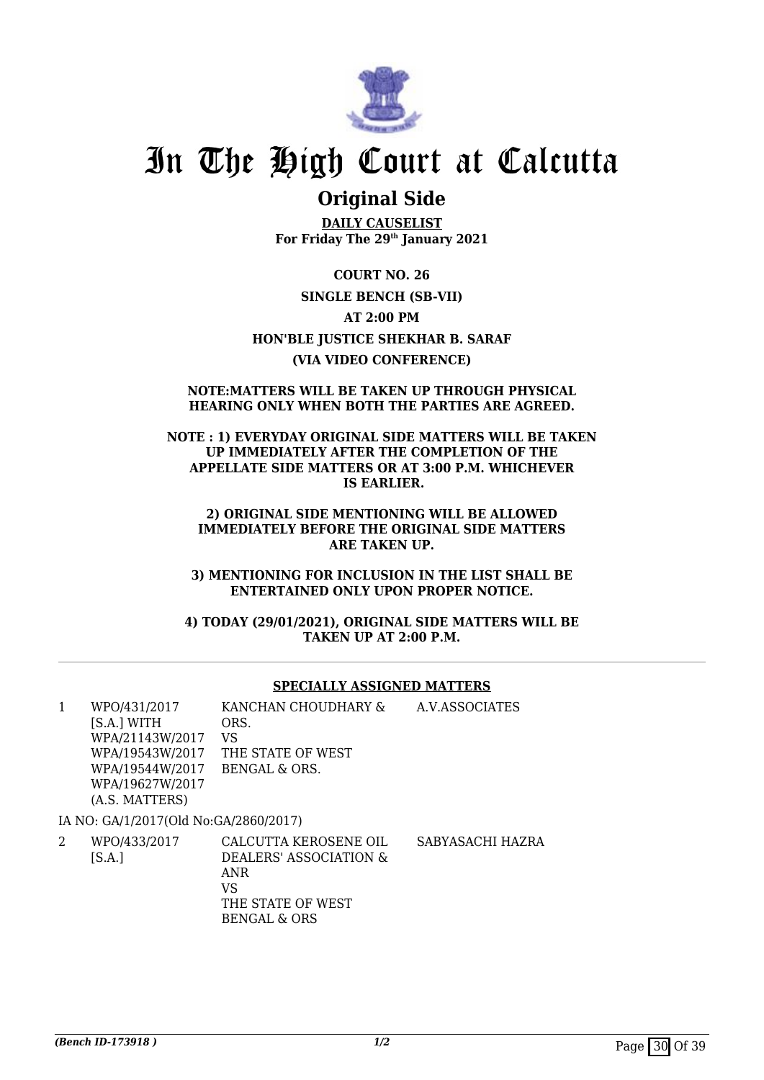

## **Original Side**

**DAILY CAUSELIST For Friday The 29th January 2021**

**COURT NO. 26 SINGLE BENCH (SB-VII) AT 2:00 PM HON'BLE JUSTICE SHEKHAR B. SARAF (VIA VIDEO CONFERENCE)**

#### **NOTE:MATTERS WILL BE TAKEN UP THROUGH PHYSICAL HEARING ONLY WHEN BOTH THE PARTIES ARE AGREED.**

**NOTE : 1) EVERYDAY ORIGINAL SIDE MATTERS WILL BE TAKEN UP IMMEDIATELY AFTER THE COMPLETION OF THE APPELLATE SIDE MATTERS OR AT 3:00 P.M. WHICHEVER IS EARLIER.**

**2) ORIGINAL SIDE MENTIONING WILL BE ALLOWED IMMEDIATELY BEFORE THE ORIGINAL SIDE MATTERS ARE TAKEN UP.**

**3) MENTIONING FOR INCLUSION IN THE LIST SHALL BE ENTERTAINED ONLY UPON PROPER NOTICE.**

**4) TODAY (29/01/2021), ORIGINAL SIDE MATTERS WILL BE TAKEN UP AT 2:00 P.M.**

#### **SPECIALLY ASSIGNED MATTERS**

| 1 | WPO/431/2017                          | KANCHAN CHOUDHARY &                                    | A.V.ASSOCIATES  |
|---|---------------------------------------|--------------------------------------------------------|-----------------|
|   | [S.A.] WITH                           | ORS.                                                   |                 |
|   | WPA/21143W/2017                       | VS                                                     |                 |
|   | WPA/19543W/2017                       | THE STATE OF WEST                                      |                 |
|   | WPA/19544W/2017                       | BENGAL & ORS.                                          |                 |
|   | WPA/19627W/2017                       |                                                        |                 |
|   | (A.S. MATTERS)                        |                                                        |                 |
|   | IA NO: GA/1/2017(Old No:GA/2860/2017) |                                                        |                 |
|   | WPO/433/2017<br><b>IC A 1</b>         | CALCUTTA KEROSENE OIL<br>א זאסזיא זיסטא יססט זאסח $\,$ | SABYASACHI HAZI |

[S.A.] DEALERS' ASSOCIATION & ANR VS THE STATE OF WEST BENGAL & ORS SABYASACHI HAZRA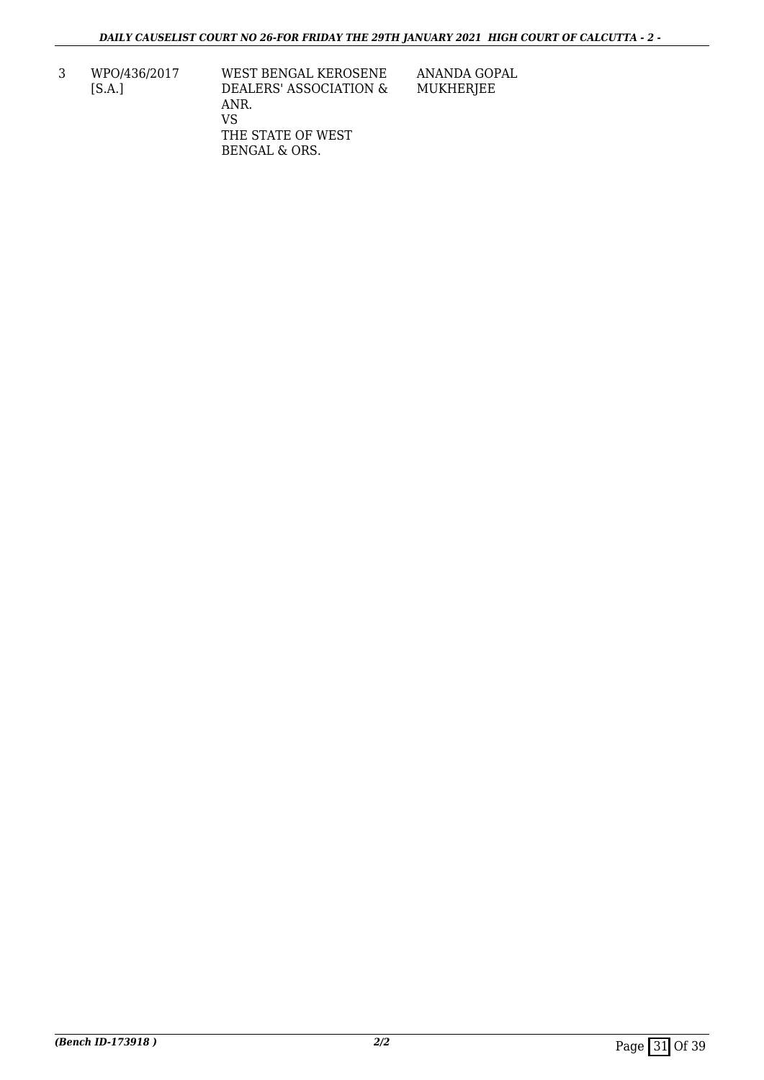3 WPO/436/2017 [S.A.]

WEST BENGAL KEROSENE DEALERS' ASSOCIATION & ANR. VS THE STATE OF WEST BENGAL & ORS.

ANANDA GOPAL MUKHERJEE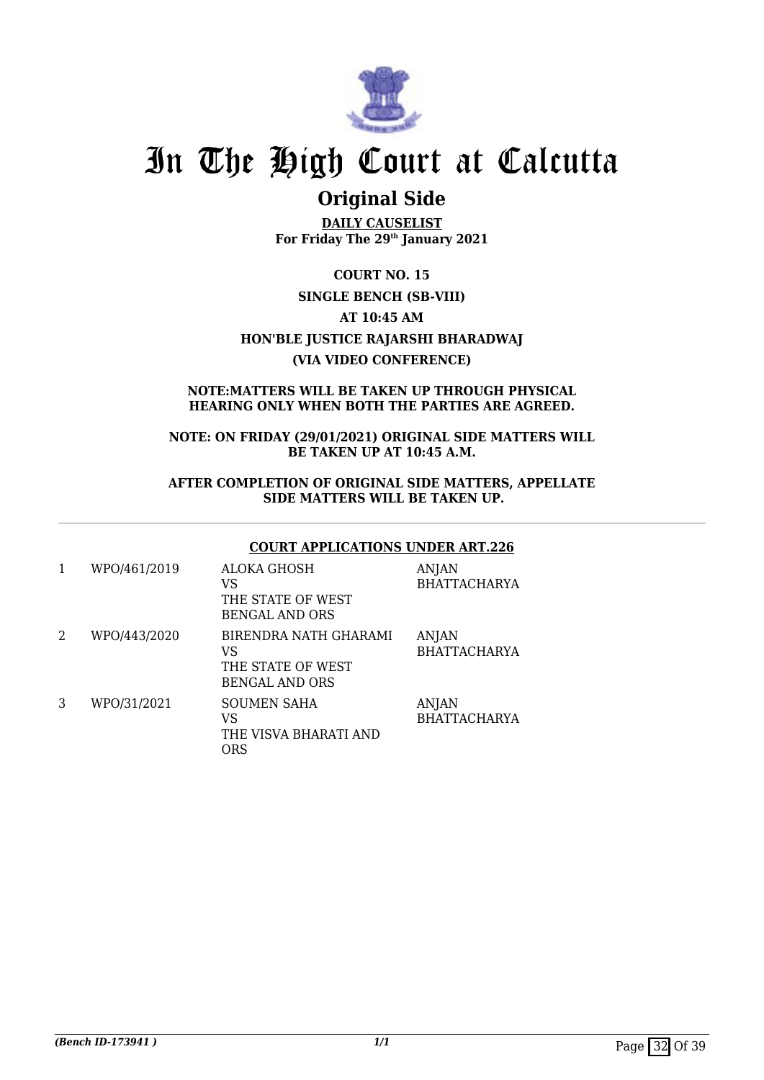

## **Original Side**

**DAILY CAUSELIST For Friday The 29th January 2021**

**COURT NO. 15 SINGLE BENCH (SB-VIII) AT 10:45 AM HON'BLE JUSTICE RAJARSHI BHARADWAJ (VIA VIDEO CONFERENCE)**

### **NOTE:MATTERS WILL BE TAKEN UP THROUGH PHYSICAL HEARING ONLY WHEN BOTH THE PARTIES ARE AGREED.**

**NOTE: ON FRIDAY (29/01/2021) ORIGINAL SIDE MATTERS WILL BE TAKEN UP AT 10:45 A.M.**

**AFTER COMPLETION OF ORIGINAL SIDE MATTERS, APPELLATE SIDE MATTERS WILL BE TAKEN UP.**

### **COURT APPLICATIONS UNDER ART.226**

| 1              | WPO/461/2019 | <b>ALOKA GHOSH</b><br>VS<br>THE STATE OF WEST<br><b>BENGAL AND ORS</b>    | <b>ANJAN</b><br><b>BHATTACHARYA</b> |
|----------------|--------------|---------------------------------------------------------------------------|-------------------------------------|
| $\overline{2}$ | WPO/443/2020 | BIRENDRA NATH GHARAMI<br>VS<br>THE STATE OF WEST<br><b>BENGAL AND ORS</b> | <b>ANJAN</b><br><b>BHATTACHARYA</b> |
| 3              | WPO/31/2021  | SOUMEN SAHA<br>VS<br>THE VISVA BHARATI AND<br><b>ORS</b>                  | <b>ANJAN</b><br><b>BHATTACHARYA</b> |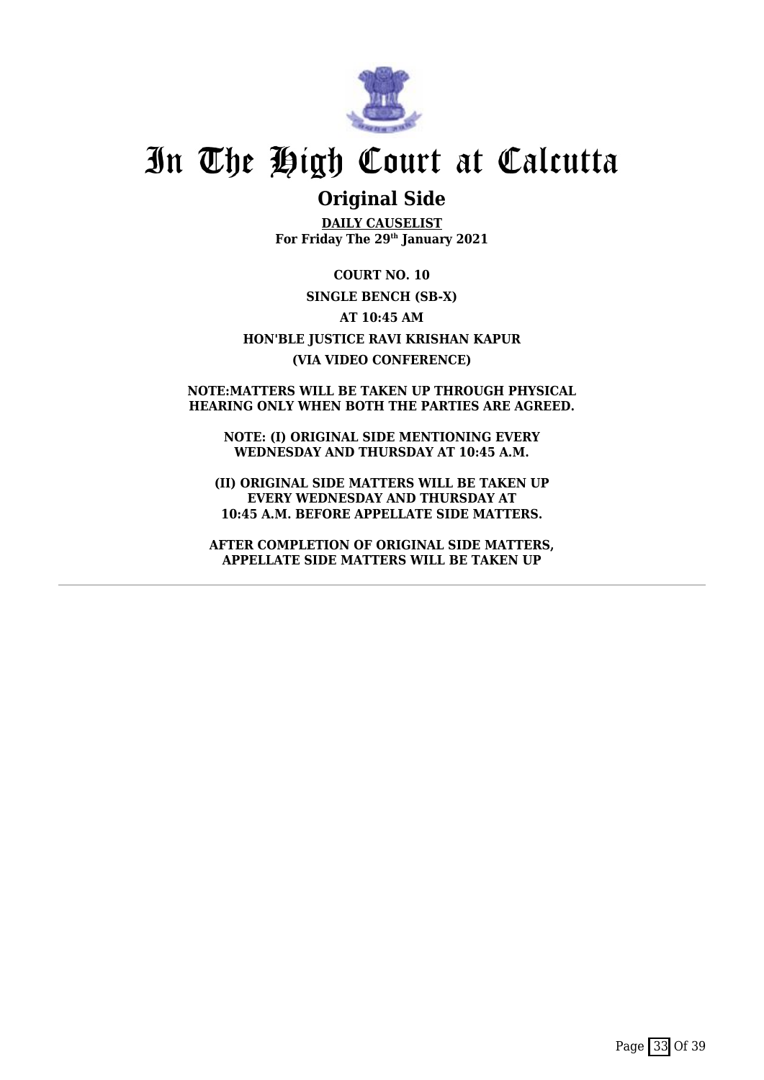

## **Original Side**

**DAILY CAUSELIST For Friday The 29th January 2021**

**COURT NO. 10 SINGLE BENCH (SB-X) AT 10:45 AM HON'BLE JUSTICE RAVI KRISHAN KAPUR (VIA VIDEO CONFERENCE)**

#### **NOTE:MATTERS WILL BE TAKEN UP THROUGH PHYSICAL HEARING ONLY WHEN BOTH THE PARTIES ARE AGREED.**

**NOTE: (I) ORIGINAL SIDE MENTIONING EVERY WEDNESDAY AND THURSDAY AT 10:45 A.M.**

**(II) ORIGINAL SIDE MATTERS WILL BE TAKEN UP EVERY WEDNESDAY AND THURSDAY AT 10:45 A.M. BEFORE APPELLATE SIDE MATTERS.**

**AFTER COMPLETION OF ORIGINAL SIDE MATTERS, APPELLATE SIDE MATTERS WILL BE TAKEN UP**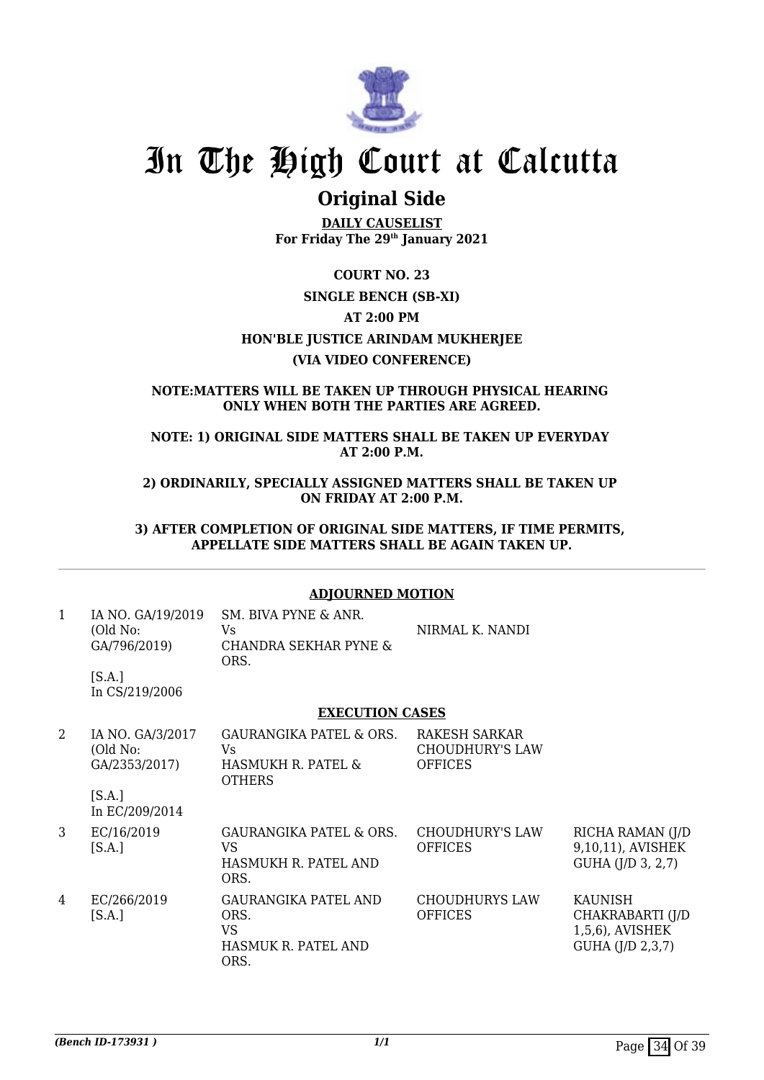

## **Original Side**

**DAILY CAUSELIST For Friday The 29th January 2021**

## **COURT NO. 23 SINGLE BENCH (SB-XI) AT 2:00 PM HON'BLE JUSTICE ARINDAM MUKHERJEE (VIA VIDEO CONFERENCE)**

### **NOTE:MATTERS WILL BE TAKEN UP THROUGH PHYSICAL HEARING ONLY WHEN BOTH THE PARTIES ARE AGREED.**

**NOTE: 1) ORIGINAL SIDE MATTERS SHALL BE TAKEN UP EVERYDAY AT 2:00 P.M.**

**2) ORDINARILY, SPECIALLY ASSIGNED MATTERS SHALL BE TAKEN UP ON FRIDAY AT 2:00 P.M.**

**3) AFTER COMPLETION OF ORIGINAL SIDE MATTERS, IF TIME PERMITS, APPELLATE SIDE MATTERS SHALL BE AGAIN TAKEN UP.**

## **ADJOURNED MOTION**

| 1 | IA NO. GA/19/2019<br>(Old No:<br>GA/796/2019) | SM. BIVA PYNE & ANR.<br>Vs<br><b>CHANDRA SEKHAR PYNE &amp;</b><br>ORS.          | NIRMAL K. NANDI                                                  |                                                                           |
|---|-----------------------------------------------|---------------------------------------------------------------------------------|------------------------------------------------------------------|---------------------------------------------------------------------------|
|   | [S.A.]<br>In CS/219/2006                      |                                                                                 |                                                                  |                                                                           |
|   |                                               | <b>EXECUTION CASES</b>                                                          |                                                                  |                                                                           |
| 2 | IA NO. GA/3/2017<br>(Old No:<br>GA/2353/2017) | GAURANGIKA PATEL & ORS.<br>Vs.<br>HASMUKH R. PATEL &<br><b>OTHERS</b>           | <b>RAKESH SARKAR</b><br><b>CHOUDHURY'S LAW</b><br><b>OFFICES</b> |                                                                           |
|   | [S.A.]<br>In EC/209/2014                      |                                                                                 |                                                                  |                                                                           |
| 3 | EC/16/2019<br>[S.A.]                          | <b>GAURANGIKA PATEL &amp; ORS.</b><br>VS.<br>HASMUKH R. PATEL AND<br>ORS.       | <b>CHOUDHURY'S LAW</b><br><b>OFFICES</b>                         | RICHA RAMAN (J/D<br>9,10,11), AVISHEK<br>GUHA (J/D 3, 2,7)                |
| 4 | EC/266/2019<br>[S.A.]                         | <b>GAURANGIKA PATEL AND</b><br>ORS.<br><b>VS</b><br>HASMUK R. PATEL AND<br>ORS. | <b>CHOUDHURYS LAW</b><br><b>OFFICES</b>                          | <b>KAUNISH</b><br>CHAKRABARTI (J/D<br>1,5,6), AVISHEK<br>GUHA (J/D 2,3,7) |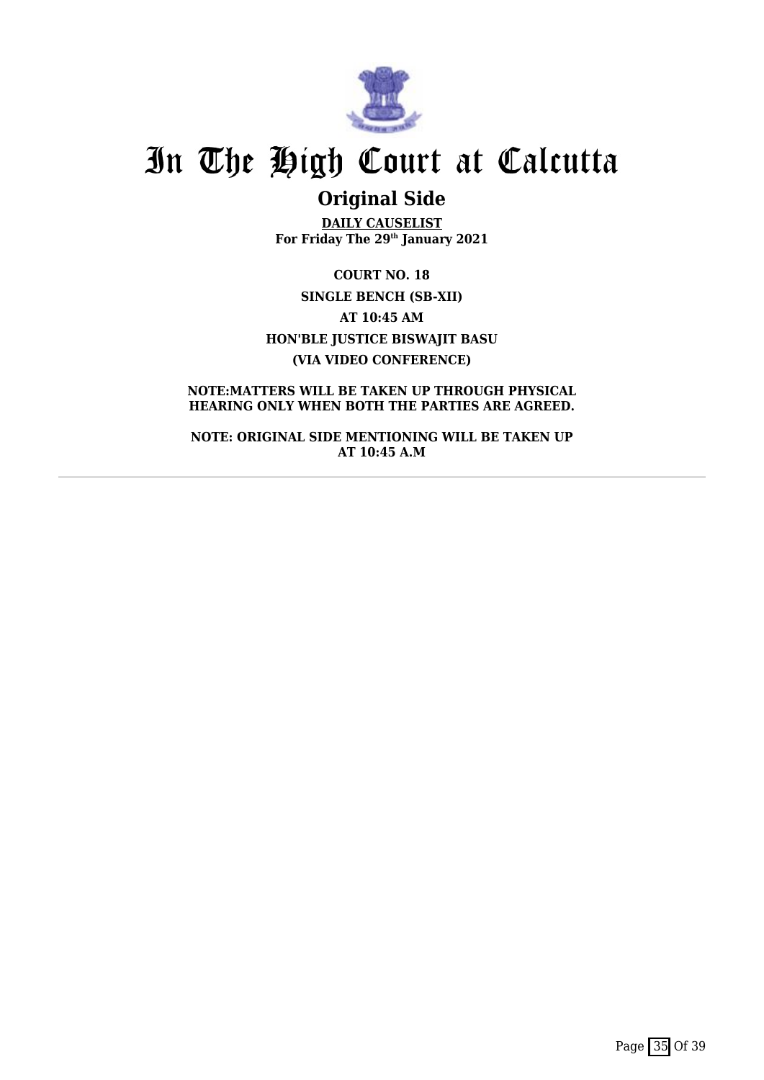

## **Original Side**

**DAILY CAUSELIST For Friday The 29th January 2021**

**COURT NO. 18 SINGLE BENCH (SB-XII) AT 10:45 AM HON'BLE JUSTICE BISWAJIT BASU (VIA VIDEO CONFERENCE)**

**NOTE:MATTERS WILL BE TAKEN UP THROUGH PHYSICAL HEARING ONLY WHEN BOTH THE PARTIES ARE AGREED.**

**NOTE: ORIGINAL SIDE MENTIONING WILL BE TAKEN UP AT 10:45 A.M**

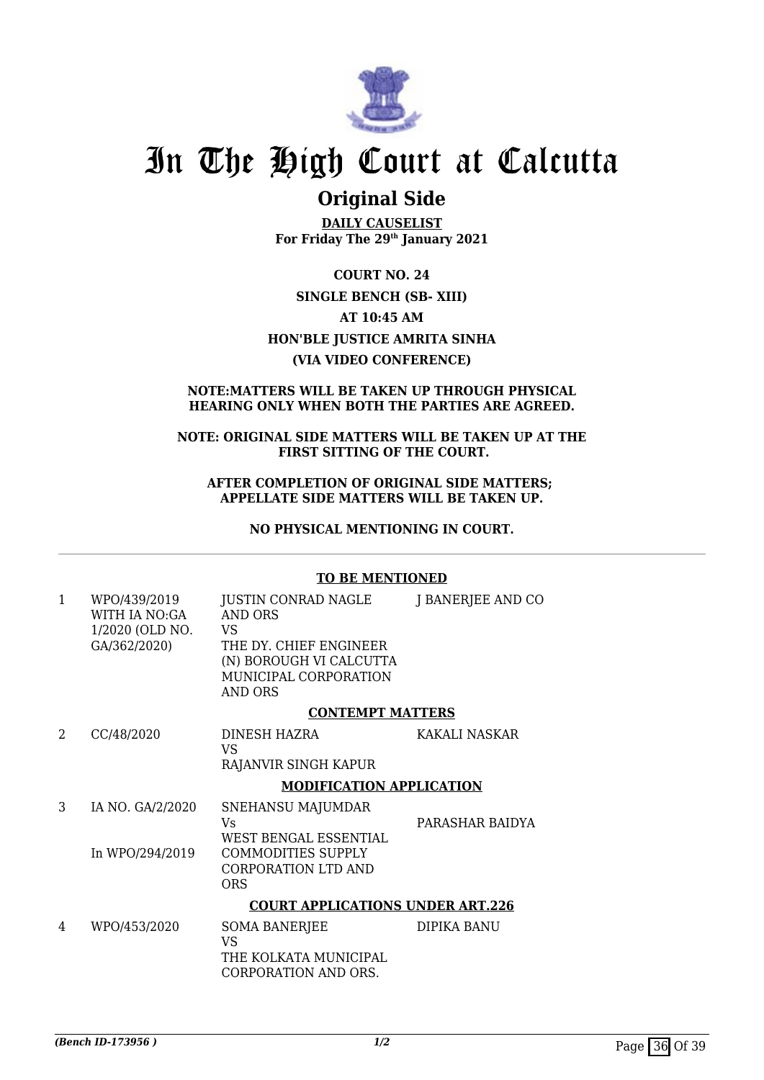

## **Original Side**

**DAILY CAUSELIST For Friday The 29th January 2021**

**COURT NO. 24 SINGLE BENCH (SB- XIII) AT 10:45 AM HON'BLE JUSTICE AMRITA SINHA (VIA VIDEO CONFERENCE)**

### **NOTE:MATTERS WILL BE TAKEN UP THROUGH PHYSICAL HEARING ONLY WHEN BOTH THE PARTIES ARE AGREED.**

#### **NOTE: ORIGINAL SIDE MATTERS WILL BE TAKEN UP AT THE FIRST SITTING OF THE COURT.**

#### **AFTER COMPLETION OF ORIGINAL SIDE MATTERS; APPELLATE SIDE MATTERS WILL BE TAKEN UP.**

**NO PHYSICAL MENTIONING IN COURT.**

#### **TO BE MENTIONED**

| 1 | WPO/439/2019<br>WITH IA NO:GA<br>1/2020 (OLD NO.<br>GA/362/2020) | JUSTIN CONRAD NAGLE<br><b>AND ORS</b><br>VS<br>THE DY. CHIEF ENGINEER<br>(N) BOROUGH VI CALCUTTA<br>MUNICIPAL CORPORATION<br><b>AND ORS</b> | J BANERJEE AND CO |  |
|---|------------------------------------------------------------------|---------------------------------------------------------------------------------------------------------------------------------------------|-------------------|--|
|   |                                                                  | <b>CONTEMPT MATTERS</b>                                                                                                                     |                   |  |
| 2 | CC/48/2020                                                       | DINESH HAZRA<br>VS<br>RAJANVIR SINGH KAPUR                                                                                                  | KAKALI NASKAR     |  |
|   |                                                                  | <b>MODIFICATION APPLICATION</b>                                                                                                             |                   |  |
| 3 | IA NO. GA/2/2020<br>In WPO/294/2019                              | SNEHANSU MAJUMDAR<br>Vs<br>WEST BENGAL ESSENTIAL<br><b>COMMODITIES SUPPLY</b>                                                               | PARASHAR BAIDYA   |  |
|   |                                                                  | CORPORATION LTD AND<br><b>ORS</b>                                                                                                           |                   |  |
|   |                                                                  | <b>COURT APPLICATIONS UNDER ART.226</b>                                                                                                     |                   |  |
| 4 | WPO/453/2020                                                     | SOMA BANERJEE<br><b>VS</b><br>THE KOLKATA MUNICIPAL<br>CORPORATION AND ORS.                                                                 | DIPIKA BANU       |  |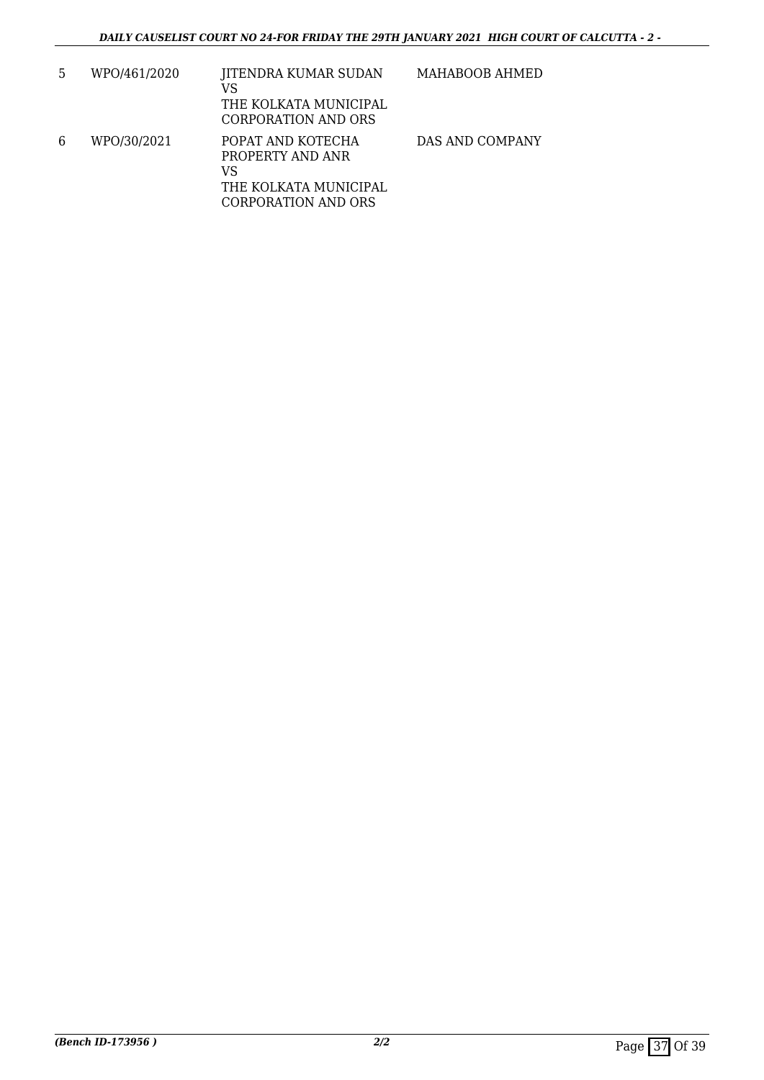| 5 | WPO/461/2020 | JITENDRA KUMAR SUDAN<br>VS<br>THE KOLKATA MUNICIPAL<br>CORPORATION AND ORS                  | MAHABOOB AHMED  |
|---|--------------|---------------------------------------------------------------------------------------------|-----------------|
| 6 | WPO/30/2021  | POPAT AND KOTECHA<br>PROPERTY AND ANR<br>VS<br>THE KOLKATA MUNICIPAL<br>CORPORATION AND ORS | DAS AND COMPANY |